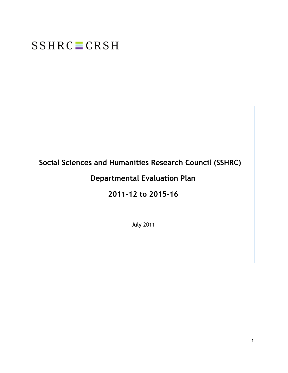# **SSHRC** CRSH

# **Social Sciences and Humanities Research Council (SSHRC)**

# **Departmental Evaluation Plan**

# **2011-12 to 2015-16**

July 2011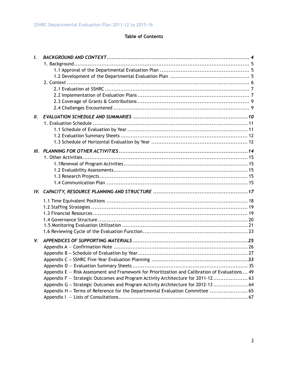#### **Table of Contents**

| $\mathbf{I}$ . |                                                                                                 |  |
|----------------|-------------------------------------------------------------------------------------------------|--|
|                |                                                                                                 |  |
|                |                                                                                                 |  |
|                |                                                                                                 |  |
|                |                                                                                                 |  |
| II.            |                                                                                                 |  |
|                |                                                                                                 |  |
|                |                                                                                                 |  |
|                |                                                                                                 |  |
|                |                                                                                                 |  |
|                |                                                                                                 |  |
|                |                                                                                                 |  |
|                |                                                                                                 |  |
|                |                                                                                                 |  |
|                |                                                                                                 |  |
|                |                                                                                                 |  |
|                |                                                                                                 |  |
|                |                                                                                                 |  |
|                |                                                                                                 |  |
|                |                                                                                                 |  |
|                |                                                                                                 |  |
| V.             |                                                                                                 |  |
|                |                                                                                                 |  |
|                |                                                                                                 |  |
|                |                                                                                                 |  |
|                | Appendix E - Risk Assessment and Framework for Prioritization and Calibration of Evaluations 49 |  |
|                | Appendix F - Strategic Outcomes and Program Activity Architecture for 2011-12 63                |  |
|                | Appendix G - Strategic Outcomes and Program Activity Architecture for 2012-13  64               |  |
|                | Appendix H - Terms of Reference for the Departmental Evaluation Committee  65                   |  |
|                |                                                                                                 |  |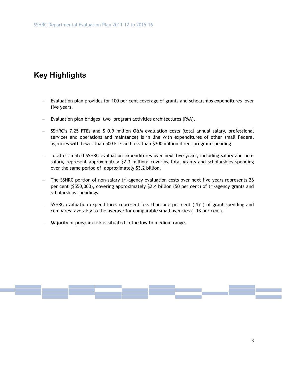# **Key Highlights**

- Evaluation plan provides for 100 per cent coverage of grants and schoarships expenditures over five years.
- Evaluation plan bridges two program activities architectures (PAA).
- SSHRC's 7.25 FTEs and \$ 0.9 million O&M evaluation costs (total annual salary, professional services and operations and maintance) is in line with expenditures of other small Federal agencies with fewer than 500 FTE and less than \$300 million direct program spending.
- Total estimated SSHRC evaluation expenditures over next five years, including salary and nonsalary, represent approximately \$2.3 million; covering total grants and scholarships spending over the same period of approximately \$3.2 billion.
- The SSHRC portion of non-salary tri-agency evaluation costs over next five years represents 26 per cent (\$550,000), covering approximately \$2.4 billion (50 per cent) of tri-agency grants and scholarships spendings.
- SSHRC evaluation expenditures represent less than one per cent (.17 ) of grant spending and compares favorably to the average for comparable small agencies ( .13 per cent).
- Majority of program risk is situated in the low to medium range.

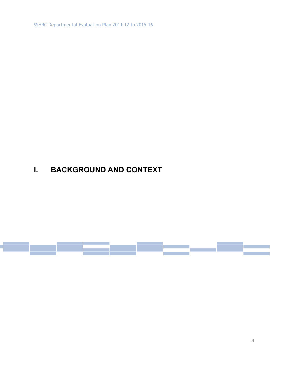SSHRC Departmental Evaluation Plan 2011-12 to 2015-16

# **I. BACKGROUND AND CONTEXT**

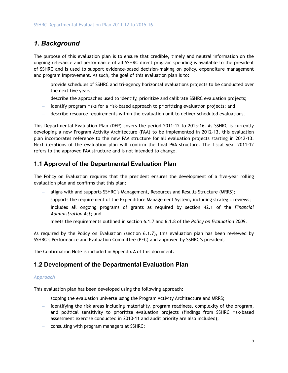### *1. Background*

The purpose of this evaluation plan is to ensure that credible, timely and neutral information on the ongoing relevance and performance of all SSHRC direct program spending is available to the president of SSHRC and is used to support evidence-based decision-making on policy, expenditure management and program improvement. As such, the goal of this evaluation plan is to:

- provide schedules of SSHRC and tri-agency horizontal evaluations projects to be conducted over the next five years;
- describe the approaches used to identify, prioritize and calibrate SSHRC evaluation projects;
- identify program risks for a risk-based approach to prioritizing evaluation projects; and
- describe resource requirements within the evaluation unit to deliver scheduled evaluations.

This Departmental Evaluation Plan (DEP) covers the period 2011-12 to 2015-16. As SSHRC is currently developing a new Program Activity Architecture (PAA) to be implemented in 2012-13, this evaluation plan incorporates reference to the new PAA structure for all evaluation projects starting in 2012-13. Next iterations of the evaluation plan will confirm the final PAA structure. The fiscal year 2011-12 refers to the approved PAA structure and is not intended to change.

#### **1.1 Approval of the Departmental Evaluation Plan**

The Policy on Evaluation requires that the president ensures the development of a five-year rolling evaluation plan and confirms that this plan:

- aligns with and supports SSHRC's Management, Resources and Results Structure (MRRS);
- supports the requirement of the Expenditure Management System, including strategic reviews;
- includes all ongoing programs of grants as required by section 42.1 of the *Financial Administration Act*; and
- meets the requirements outlined in section 6.1.7 and 6.1.8 of the *Policy on Evaluation 2009*.

As required by the Policy on Evaluation (section 6.1.7), this evaluation plan has been reviewed by SSHRC's Performance and Evaluation Committee (PEC) and approved by SSHRC's president.

The Confirmation Note is included in Appendix A of this document.

#### **1.2 Development of the Departmental Evaluation Plan**

#### *Approach*

This evaluation plan has been developed using the following approach:

- scoping the evaluation universe using the Program Activity Architecture and MRRS;
- identifying the risk areas including materiality, program readiness, complexity of the program, and political sensitivity to prioritize evaluation projects (findings from SSHRC risk-based assessment exercise conducted in 2010-11 and audit priority are also included);
- consulting with program managers at SSHRC;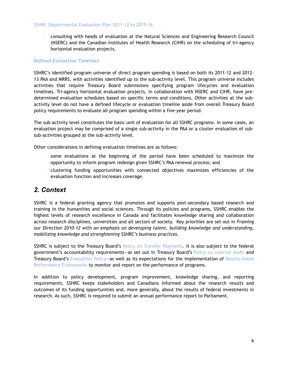#### SSHRC Departmental Evaluation Plan 2011-12 to 2015-16

– consulting with heads of evaluation at the Natural Sciences and Engineering Research Council (NSERC) and the Canadian Institutes of Health Research (CIHR) on the scheduling of tri-agency horizontal evaluation projects.

#### *Defined Evaluation Timelines*

SSHRC's identified program universe of direct program spending is based on both its 2011-12 and 2012- 13 PAA and MRRS, with activities identified up to the sub-activity level. This program universe includes activities that require Treasury Board submissions specifying program lifecycles and evaluation timelines. Tri-agency horizontal evaluation projects, in collaboration with NSERC and CIHR, have predetermined evaluation schedules based on specific terms and conditions. Other activities at the subactivity level do not have a defined lifecycle or evaluation timeline aside from overall Treasury Board policy requirements to evaluate all program spending within a five-year period.

The sub-activity level constitutes the basic unit of evaluation for all SSHRC programs. In some cases, an evaluation project may be comprised of a single sub-activity in the PAA or a cluster evaluation of subsub-activities grouped at the sub-activity level.

Other considerations in defining evaluation timelines are as follows:

- some evaluations at the beginning of the period have been scheduled to maximize the opportunity to inform program redesign given SSHRC's PAA renewal process; and
- clustering funding opportunities with connected objectives maximizes efficiencies of the evaluation function and increases coverage.

#### *2. Context*

SSHRC is a federal granting agency that promotes and supports post-secondary based research and training in the humanities and social sciences. Through its policies and programs, SSHRC enables the highest levels of research excellence in Canada and facilitates knowledge sharing and collaboration across research disciplines, universities and all sectors of society. Key priorities are set out in *Framing our Direction 2010-12 with an emphasis on developing talent, building knowledge and understanding, mobilizing knowledge and strenghtening SSHRC's business practices.*

SSHRC is subject to the Treasury Board's Policy on Transfer Payments. It is also subject to the federal government's accountability requirements—as set out in Treasury Board's Policy on Internal Audit and Treasury Board's Evaluation Policy-as well as its expectations for the implementation of Results-based Performance Frameworks to monitor and report on the performance of programs.

In addition to policy development, program improvement, knowledge sharing, and reporting requirements, SSHRC keeps stakeholders and Canadians informed about the research results and outcomes of its funding opportunities and, more generally, about the results of federal investments in research. As such, SSHRC is required to submit an annual performance report to Parliament.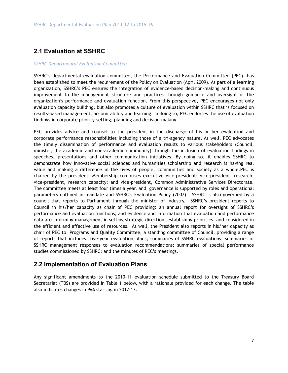#### **2.1 Evaluation at SSHRC**

#### *SSHRC Departmental Evaluation Committee*

SSHRC's departmental evaluation committee, the Performance and Evaluation Committee (PEC), has been established to meet the requirement of the Policy on Evaluation (April 2009). As part of a learning organization, SSHRC's PEC ensures the integration of evidence-based decision-making and continuous improvement to the management structure and practices through guidance and oversight of the organization's performance and evaluation function. From this perspective, PEC encourages not only evaluation capacity building, but also promotes a culture of evaluation within SSHRC that is focused on results-based management, accountability and learning. In doing so, PEC endorses the use of evaluation findings in corporate priority-setting, planning and decision-making.

PEC provides advice and counsel to the president in the discharge of his or her evaluation and corporate performance responsibilities including those of a tri-agency nature. As well, PEC advocates the timely dissemination of performance and evaluation results to various stakeholders (Council, minister, the academic and non-academic community) through the inclusion of evaluation findings in speeches, presentations and other communication initiatives. By doing so, it enables SSHRC to demonstrate how innovative social sciences and humanities scholarship and research is having real value and making a difference in the lives of people, communities and society as a whole.PEC is chaired by the president. Membership comprises executive vice-president; vice-president, research; vice-president, research capacity; and vice-president, Common Administrative Services Directorate. The committee meets at least four times a year, and governance is supported by roles and operational parameters outlined in mandate and SSHRC's Evaluation Policy (2007). SSHRC is also governed by a council that reports to Parliament through the minister of Industry. SSHRC's president reports to Council in his/her capacity as chair of PEC providing: an annual report for oversight of SSHRC's performance and evaluation functions; and evidence and information that evaluation and performance data are informing management in setting strategic direction, establishing priorities, and considered in the efficient and effective use of resources. As well, the President also reports in his/her capacity as chair of PEC to Programs and Quality Committee, a standing committee of Council, providing a range of reports that includes: five-year evaluation plans; summaries of SSHRC evaluations; summaries of SSHRC management responses to evaluation recommendations; summaries of special performance studies commissioned by SSHRC; and the minutes of PEC's meetings.

#### **2.2 Implementation of Evaluation Plans**

Any significant amendments to the 2010-11 evaluation schedule submitted to the Treasury Board Secretariat (TBS) are provided in Table 1 below, with a rationale provided for each change. The table also indicates changes in PAA starting in 2012-13.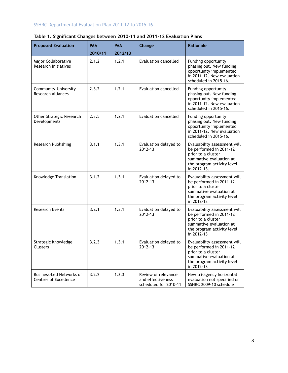#### SSHRC Departmental Evaluation Plan 2011-12 to 2015-16

| <b>Proposed Evaluation</b>                               | <b>PAA</b> | PAA     | Change                                                            | Rationale                                                                                                                                             |
|----------------------------------------------------------|------------|---------|-------------------------------------------------------------------|-------------------------------------------------------------------------------------------------------------------------------------------------------|
|                                                          | 2010/11    | 2012/13 |                                                                   |                                                                                                                                                       |
| Major Collaborative<br>Research Initiatives              | 2.1.2      | 1.2.1   | <b>Evaluation cancelled</b>                                       | Funding opportunity<br>phasing out. New funding<br>opportunity implemented<br>in 2011-12. New evaluation<br>scheduled in 2015-16.                     |
| Community-University<br><b>Research Alliances</b>        | 2.3.2      | 1.2.1   | <b>Evaluation cancelled</b>                                       | Funding opportunity<br>phasing out. New funding<br>opportunity implemented<br>in 2011-12. New evaluation<br>scheduled in 2015-16.                     |
| Other Strategic Research<br>Developments                 | 2.3.5      | 1.2.1   | <b>Evaluation cancelled</b>                                       | Funding opportunity<br>phasing out. New funding<br>opportunity implemented<br>in 2011-12. New evaluation<br>scheduled in 2015-16.                     |
| Research Publishing                                      | 3.1.1      | 1.3.1   | Evaluation delayed to<br>2012-13                                  | Evaluability assessment will<br>be performed in 2011-12<br>prior to a cluster<br>summative evaluation at<br>the program activity level<br>in 2012-13. |
| Knowledge Translation                                    | 3.1.2      | 1.3.1   | Evaluation delayed to<br>2012-13                                  | Evaluability assessment will<br>be performed in 2011-12<br>prior to a cluster<br>summative evaluation at<br>the program activity level<br>in 2012-13  |
| <b>Research Events</b>                                   | 3.2.1      | 1.3.1   | Evaluation delayed to<br>2012-13                                  | Evaluability assessment will<br>be performed in 2011-12<br>prior to a cluster<br>summative evaluation at<br>the program activity level<br>in 2012-13  |
| Strategic Knowledge<br><b>Clusters</b>                   | 3.2.3      | 1.3.1   | Evaluation delayed to<br>2012-13                                  | Evaluability assessment will<br>be performed in 2011-12<br>prior to a cluster<br>summative evaluation at<br>the program activity level<br>in 2012-13  |
| Business-Led Networks of<br><b>Centres of Excellence</b> | 3.2.2      | 1.3.3   | Review of relevance<br>and effectiveness<br>scheduled for 2010-11 | New tri-agency horizontal<br>evaluation not specified on<br>SSHRC 2009-10 schedule                                                                    |

#### **Table 1. Significant Changes between 2010-11 and 2011-12 Evaluation Plans**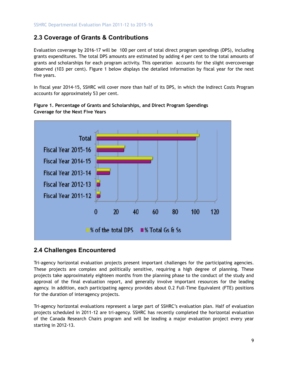#### **2.3 Coverage of Grants & Contributions**

Evaluation coverage by 2016-17 will be 100 per cent of total direct program spendings (DPS), including grants expenditures. The total DPS amounts are estimated by adding 4 per cent to the total amounts of grants and scholarships for each program activity. This operation accounts for the slight overcoverage observed (103 per cent). Figure 1 below displays the detailed information by fiscal year for the next five years.

In fiscal year 2014-15, SSHRC will cover more than half of its DPS, in which the Indirect Costs Program accounts for approximately 53 per cent.



**Figure 1. Percentage of Grants and Scholarships, and Direct Program Spendings Coverage for the Next Five Years** 

#### **2.4 Challenges Encountered**

Tri-agency horizontal evaluation projects present important challenges for the participating agencies. These projects are complex and politically sensitive, requiring a high degree of planning. These projects take approximately eighteen months from the planning phase to the conduct of the study and approval of the final evaluation report, and generally involve important resources for the leading agency. In addition, each participating agency provides about 0.2 Full-Time Equivalent (FTE) positions for the duration of interagency projects.

Tri-agency horizontal evaluations represent a large part of SSHRC's evaluation plan. Half of evaluation projects scheduled in 2011-12 are tri-agency. SSHRC has recently completed the horizontal evaluation of the Canada Research Chairs program and will be leading a major evaluation project every year starting in 2012-13.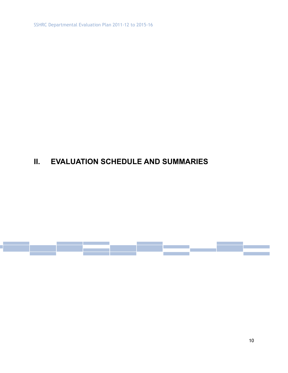SSHRC Departmental Evaluation Plan 2011-12 to 2015-16

# **II. EVALUATION SCHEDULE AND SUMMARIES**

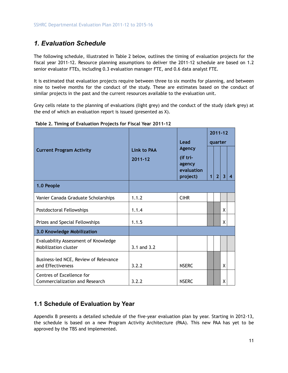### *1. Evaluation Schedule*

The following schedule, illustrated in Table 2 below, outlines the timing of evaluation projects for the fiscal year 2011-12. Resource planning assumptions to deliver the 2011-12 schedule are based on 1.2 senior evaluator FTEs, including 0.3 evaluation manager FTE, and 0.6 data analyst FTE.

It is estimated that evaluation projects require between three to six months for planning, and between nine to twelve months for the conduct of the study. These are estimates based on the conduct of similar projects in the past and the current resources available to the evaluation unit.

Grey cells relate to the planning of evaluations (light grey) and the conduct of the study (dark grey) at the end of which an evaluation report is issued (presented as X).

|                                                                           |             |                                       |                | $2011 - 12$    |   |   |
|---------------------------------------------------------------------------|-------------|---------------------------------------|----------------|----------------|---|---|
|                                                                           |             | Lead                                  | quarter        |                |   |   |
| Link to PAA<br><b>Current Program Activity</b><br>(if tri-<br>$2011 - 12$ |             | <b>Agency</b><br>agency<br>evaluation |                |                |   |   |
| 1.0 People                                                                |             | project)                              | 1 <sup>1</sup> | 2 <sup>2</sup> | 3 | 4 |
|                                                                           |             |                                       |                |                |   |   |
| Vanier Canada Graduate Scholarships                                       | 1.1.2       | <b>CIHR</b>                           |                |                |   |   |
| Postdoctoral Fellowships                                                  | 1.1.4       |                                       |                |                | X |   |
| Prizes and Special Fellowships                                            | 1.1.5       |                                       |                |                | X |   |
| 3.0 Knowledge Mobilization                                                |             |                                       |                |                |   |   |
| Evaluability Assessment of Knowledge<br>Mobilization cluster              | 3.1 and 3.2 |                                       |                |                |   |   |
| Business-led NCE, Review of Relevance<br>and Effectiveness                | 3.2.2       | <b>NSERC</b>                          |                |                | X |   |
| Centres of Excellence for<br>Commercialization and Research               | 3.2.2       | <b>NSERC</b>                          |                |                | х |   |

 **Table 2. Timing of Evaluation Projects for Fiscal Year 2011-12** 

#### **1.1 Schedule of Evaluation by Year**

Appendix B presents a detailed schedule of the five-year evaluation plan by year. Starting in 2012-13, the schedule is based on a new Program Activity Architecture (PAA). This new PAA has yet to be approved by the TBS and implemented.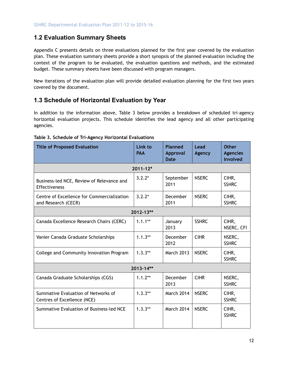#### **1.2 Evaluation Summary Sheets**

Appendix C presents details on three evaluations planned for the first year covered by the evaluation plan. These evaluation summary sheets provide a short synopsis of the planned evaluation including the context of the program to be evaluated, the evaluation questions and methods, and the estimated budget. These summary sheets have been discussed with program managers.

New iterations of the evaluation plan will provide detailed evaluation planning for the first two years covered by the document.

#### **1.3 Schedule of Horizontal Evaluation by Year**

In addition to the information above, Table 3 below provides a breakdown of scheduled tri-agency horizontal evaluation projects. This schedule identifies the lead agency and all other participating agencies.

| <b>Title of Proposed Evaluation</b>                                | Link to<br><b>PAA</b> | <b>Planned</b><br>Approval<br><b>Date</b> | Lead<br>Agency | <b>Other</b><br><b>Agencies</b><br><b>Involved</b> |
|--------------------------------------------------------------------|-----------------------|-------------------------------------------|----------------|----------------------------------------------------|
|                                                                    | $2011 - 12*$          |                                           |                |                                                    |
| Business-led NCE, Review of Relevance and<br><b>Effectiveness</b>  | $3.2.2*$              | September<br>2011                         | <b>NSERC</b>   | CIHR,<br><b>SSHRC</b>                              |
| Centre of Excellence for Commercialization<br>and Research (CECR)  | $3.2.2*$              | December<br>2011                          | <b>NSERC</b>   | CIHR,<br><b>SSHRC</b>                              |
|                                                                    | 2012-13**             |                                           |                |                                                    |
| Canada Excellence Research Chairs (CERC)                           | $1.1.1**$             | January<br>2013                           | <b>SSHRC</b>   | CIHR,<br>NSERC, CFI                                |
| Vanier Canada Graduate Scholarships                                | $1.1.3**$             | December<br>2012                          | <b>CIHR</b>    | NSERC,<br><b>SSHRC</b>                             |
| College and Community Innovation Program                           | $1.3.3**$             | <b>March 2013</b>                         | <b>NSERC</b>   | CIHR,<br><b>SSHRC</b>                              |
|                                                                    | 2013-14**             |                                           |                |                                                    |
| Canada Graduate Scholarships (CGS)                                 | $1.1.2**$             | December<br>2013                          | <b>CIHR</b>    | NSERC,<br><b>SSHRC</b>                             |
| Summative Evaluation of Networks of<br>Centres of Excellence (NCE) | $1.3.3**$             | <b>March 2014</b>                         | <b>NSERC</b>   | CIHR,<br><b>SSHRC</b>                              |
| Summative Evaluation of Business-led NCE                           | $1.3.3**$             | March 2014                                | <b>NSERC</b>   | CIHR,<br><b>SSHRC</b>                              |

#### **Table 3. Schedule of Tri-Agency Horizontal Evaluations**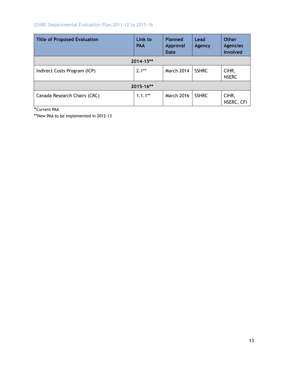#### SSHRC Departmental Evaluation Plan 2011-12 to 2015-16

| <b>Title of Proposed Evaluation</b> | Link to<br><b>PAA</b> | <b>Planned</b><br><b>Approval</b><br><b>Date</b> | Lead<br>Agency | <b>Other</b><br><b>Agencies</b><br><b>Involved</b> |
|-------------------------------------|-----------------------|--------------------------------------------------|----------------|----------------------------------------------------|
|                                     | $2014 - 15**$         |                                                  |                |                                                    |
| Indirect Costs Program (ICP)        | $2.1**$               | <b>March 2014</b>                                | <b>SSHRC</b>   | CIHR,<br><b>NSERC</b>                              |
|                                     | 2015-16**             |                                                  |                |                                                    |
| Canada Research Chairs (CRC)        | $1.1.1**$             | <b>March 2016</b>                                | <b>SSHRC</b>   | CIHR,<br>NSERC, CFI                                |

\*Current PAA

\*\*New PAA to be implemented in 2012-13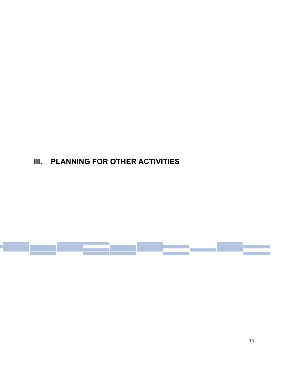# **III. PLANNING FOR OTHER ACTIVITIES**

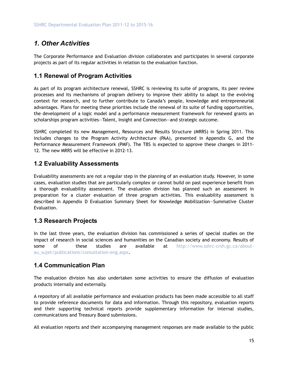### *1. Other Activities*

The Corporate Performance and Evaluation division collaborates and participates in several corporate projects as part of its regular activities in relation to the evaluation function.

#### **1.1 Renewal of Program Activities**

As part of its program architecture renewal, SSHRC is reviewing its suite of programs, its peer review processes and its mechanisms of program delivery to improve their ability to adapt to the evolving context for research, and to further contribute to Canada's people, knowledge and entrepreneurial advantages. Plans for meeting these priorities include the renewal of its suite of funding opportunities, the development of a logic model and a performance measurement framework for renewed grants an scholarships program activities—Talent, Insight and Connection—and strategic outcome.

SSHRC completed its new Management, Resources and Results Structure (MRRS) in Spring 2011. This includes changes to the Program Activity Architecture (PAA), presented in Appendix G, and the Performance Measurement Framework (PMF). The TBS is expected to approve these changes in 2011- 12. The new MRRS will be effective in 2012-13.

#### **1.2 Evaluability Assessments**

Evaluability assessments are not a regular step in the planning of an evaluation study. However, in some cases, evaluation studies that are particularly complex or cannot build on past experience benefit from a thorough evaluability assessment. The evaluation division has planned such an assessment in preparation for a cluster evaluation of three program activities. This evaluability assessment is described in Appendix D Evaluation Summary Sheet for Knowledge Mobilization—Summative Cluster Evaluation.

#### **1.3 Research Projects**

In the last three years, the evaluation division has commissioned a series of special studies on the impact of research in social sciences and humanities on the Canadian society and economy. Results of some of these studies are available at http://www.sshrc-crsh.gc.ca/aboutau\_sujet/publications/consultation-eng.aspx.

#### **1.4 Communication Plan**

The evaluation division has also undertaken some activities to ensure the diffusion of evaluation products internally and externally.

A repository of all available performance and evaluation products has been made accessible to all staff to provide reference documents for data and information. Through this repository, evaluation reports and their supporting technical reports provide supplementary information for internal studies, communications and Treasury Board submissions.

All evaluation reports and their accompanying management responses are made available to the public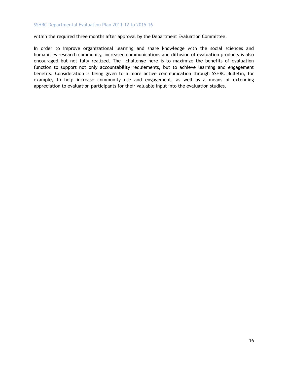within the required three months after approval by the Department Evaluation Committee.

In order to improve organizational learning and share knowledge with the social sciences and humanities research community, increased communications and diffusion of evaluation products is also encouraged but not fully realized. The challenge here is to maximize the benefits of evaluation function to support not only accountability requiements, but to achieve learning and engagement benefits. Consideration is being given to a more active communication through SSHRC Bulletin, for example, to help increase community use and engagement, as well as a means of extending appreciation to evaluation participants for their valuable input into the evaluation studies.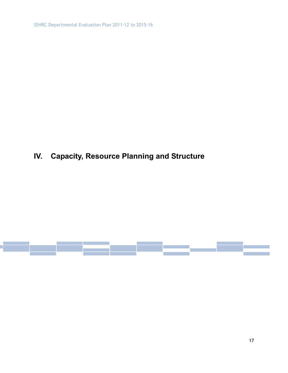SSHRC Departmental Evaluation Plan 2011-12 to 2015-16

# **IV. Capacity, Resource Planning and Structure**

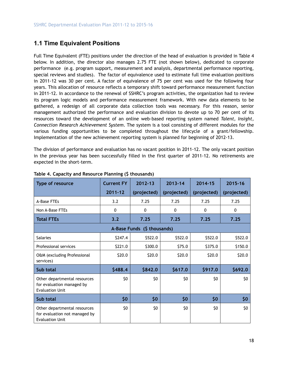#### **1.1 Time Equivalent Positions**

Full Time Equivalent (FTE) positions under the direction of the head of evaluation is provided in Table 4 below. In addition, the director also manages 2.75 FTE (not shown below), dedicated to corporate performance (e.g. program support, measurement and analysis, departmental performance reporting, special reviews and studies). The factor of equivalence used to estimate full time evaluation positions in 2011-12 was 30 per cent. A factor of equivalence of 75 per cent was used for the following four years. This allocation of resource reflects a temporary shift toward performance measurement function in 2011-12. In accordance to the renewal of SSHRC's program activities, the organization had to review its program logic models and performance measurement framework. With new data elements to be gathered, a redesign of all corporate data collection tools was necessary. For this reason, senior management authorized the performance and evaluation division to devote up to 70 per cent of its resources toward the development of an online web-based reporting system named *Talent, Insight, Connection Research Achievement System*. The system is a tool consisting of different modules for the various funding opportunities to be completed throughout the lifecycle of a grant/fellowship. Implementation of the new achievement reporting system is planned for beginning of 2012-13.

The division of performance and evaluation has no vacant position in 2011-12. The only vacant position in the previous year has been successfully filled in the first quarter of 2011-12. No retirements are expected in the short-term.

| Type of resource                                                                        | <b>Current FY</b> | $2012 - 13$                 | $2013 - 14$ | 2014-15      | 2015-16     |
|-----------------------------------------------------------------------------------------|-------------------|-----------------------------|-------------|--------------|-------------|
|                                                                                         | $2011 - 12$       | (projected)                 | (projected) | (projected)  | (projected) |
| A-Base FTEs                                                                             | 3.2               | 7.25                        | 7.25        | 7.25         | 7.25        |
| Non A-Base FTEs                                                                         | 0                 | $\mathbf{0}$                | $\Omega$    | $\mathbf{0}$ | 0           |
| <b>Total FTEs</b>                                                                       | 3.2               | 7.25                        | 7.25        | 7.25         | 7.25        |
|                                                                                         |                   | A-Base Funds (\$ thousands) |             |              |             |
| <b>Salaries</b>                                                                         | \$247.4           | \$522.0                     | \$522.0     | \$522.0      | \$522.0     |
| Professional services                                                                   | \$221.0           | \$300.0                     | \$75.0      | \$375.0      | \$150.0     |
| O&M (excluding Professional<br>services)                                                | \$20.0            | \$20.0                      | \$20.0      | \$20.0       | \$20.0      |
| Sub total                                                                               | \$488.4           | \$842.0                     | \$617.0     | \$917.0      | \$692.0     |
| Other departmental resources<br>for evaluation managed by<br><b>Evaluation Unit</b>     | \$0               | \$0                         | \$0         | \$0          | \$0         |
| Sub total                                                                               | \$0               | \$0                         | \$0         | \$0          | \$0         |
| Other departmental resources<br>for evaluation not managed by<br><b>Evaluation Unit</b> | \$0               | \$0                         | \$0         | \$0          | \$0         |

#### **Table 4. Capacity and Resource Planning (\$ thousands)**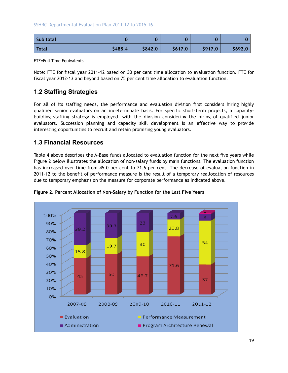#### SSHRC Departmental Evaluation Plan 2011-12 to 2015-16

| Sub total    |         |         |         |         |         |
|--------------|---------|---------|---------|---------|---------|
| <b>Total</b> | \$488.4 | \$842.0 | \$617.0 | \$917.0 | \$692.0 |

FTE=Full Time Equivalents

Note: FTE for fiscal year 2011-12 based on 30 per cent time allocation to evaluation function. FTE for fiscal year 2012-13 and beyond based on 75 per cent time allocation to evaluation function.

#### **1.2 Staffing Strategies**

For all of its staffing needs, the performance and evaluation division first considers hiring highly qualified senior evaluators on an indeterminate basis. For specific short-term projects, a capacitybuilding staffing strategy is employed, with the division considering the hiring of qualified junior evaluators. Succession planning and capacity skill development is an effective way to provide interesting opportunities to recruit and retain promising young evaluators.

#### **1.3 Financial Resources**

Table 4 above describes the A-Base funds allocated to evaluation function for the next five years while Figure 2 below illustrates the allocation of non-salary funds by main functions. The evaluation function has increased over time from 45.0 per cent to 71.6 per cent. The decrease of evaluation function in 2011-12 to the benefit of performance measure is the result of a temporary reallocation of resources due to temporary emphasis on the measure for corporate performance as indicated above.



**Figure 2. Percent Allocation of Non-Salary by Function for the Last Five Years**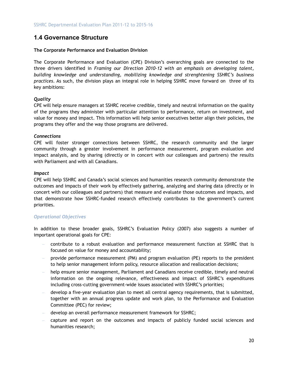#### **1.4 Governance Structure**

#### **The Corporate Performance and Evaluation Division**

The Corporate Performance and Evaluation (CPE) Division's overarching goals are connected to the three drivers identified in *Framing our Direction 2010-12 with an emphasis on developing talent, building knowledge and understanding, mobilizing knowledge and strenghtening SSHRC's business practices*. As such, the division plays an integral role in helping SSHRC move forward on three of its key ambitions:

#### *Quality*

CPE will help ensure managers at SSHRC receive credible, timely and neutral information on the quality of the programs they administer with particular attention to performance, return on investment, and value for money and impact. This information will help senior executives better align their policies, the programs they offer and the way those programs are delivered.

#### *Connections*

CPE will foster stronger connections between SSHRC, the research community and the larger community through a greater involvement in performance measurement, program evaluation and impact analysis, and by sharing (directly or in concert with our colleagues and partners) the results with Parliament and with all Canadians.

#### *Impact*

CPE will help SSHRC and Canada's social sciences and humanities research community demonstrate the outcomes and impacts of their work by effectively gathering, analyzing and sharing data (directly or in concert with our colleagues and partners) that measure and evaluate those outcomes and impacts, and that demonstrate how SSHRC-funded research effectively contributes to the government's current priorities.

#### *Operational Objectives*

In addition to these broader goals, SSHRC's Evaluation Policy (2007) also suggests a number of important operational goals for CPE:

- contribute to a robust evaluation and performance measurement function at SSHRC that is focused on value for money and accountability;
- provide performance measurement (PM) and program evaluation (PE) reports to the president to help senior management inform policy, resource allocation and reallocation decisions;
- help ensure senior management, Parliament and Canadians receive credible, timely and neutral information on the ongoing relevance, effectiveness and impact of SSHRC's expenditures including cross-cutting government-wide issues associated with SSHRC's priorities;
- develop a five-year evaluation plan to meet all central agency requirements, that is submitted, together with an annual progress update and work plan, to the Performance and Evaluation Committee (PEC) for review;
- develop an overall performance measurement framework for SSHRC;
- capture and report on the outcomes and impacts of publicly funded social sciences and humanities research;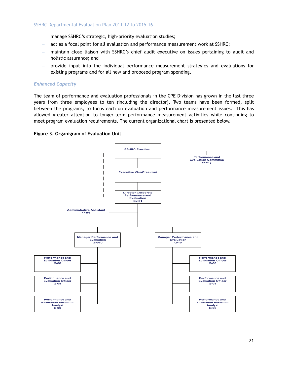- manage SSHRC's strategic, high-priority evaluation studies;
- act as a focal point for all evaluation and performance measurement work at SSHRC;
- maintain close liaison with SSHRC's chief audit executive on issues pertaining to audit and holistic assurance; and
- provide input into the individual performance measurement strategies and evaluations for existing programs and for all new and proposed program spending.

#### *Enhanced Capacity*

The team of performance and evaluation professionals in the CPE Division has grown in the last three years from three employees to ten (including the director). Two teams have been formed, split between the programs, to focus each on evaluation and performance measurement issues. This has allowed greater attention to longer-term performance measurement activities while continuing to meet program evaluation requirements. The current organizational chart is presented below.



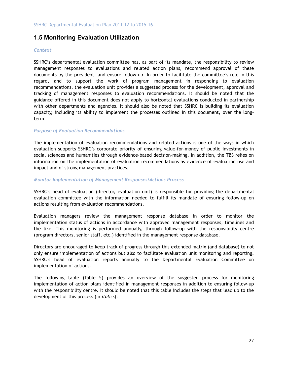#### **1.5 Monitoring Evaluation Utilization**

#### *Context*

SSHRC's departmental evaluation committee has, as part of its mandate, the responsibility to review management responses to evaluations and related action plans, recommend approval of these documents by the president, and ensure follow-up. In order to facilitate the committee's role in this regard, and to support the work of program management in responding to evaluation recommendations, the evaluation unit provides a suggested process for the development, approval and tracking of management responses to evaluation recommendations. It should be noted that the guidance offered in this document does not apply to horizontal evaluations conducted in partnership with other departments and agencies. It should also be noted that SSHRC is building its evaluation capacity, including its ability to implement the processes outlined in this document, over the longterm.

#### *Purpose of Evaluation Recommendations*

The implementation of evaluation recommendations and related actions is one of the ways in which evaluation supports SSHRC's corporate priority of ensuring value-for-money of public investments in social sciences and humanities through evidence-based decision-making. In addition, the TBS relies on information on the implementation of evaluation recommendations as evidence of evaluation use and impact and of strong management practices.

#### *Monitor Implementation of Management Responses/Actions Process*

SSHRC's head of evaluation (director, evaluation unit) is responsible for providing the departmental evaluation committee with the information needed to fulfill its mandate of ensuring follow-up on actions resulting from evaluation recommendations.

Evaluation managers review the management response database in order to monitor the implementation status of actions in accordance with approved management responses, timelines and the like. This monitoring is performed annually, through follow-up with the responsibility centre (program directors, senior staff, etc.) identified in the management response database.

Directors are encouraged to keep track of progress through this extended matrix (and database) to not only ensure implementation of actions but also to facilitate evaluation unit monitoring and reporting. SSHRC's head of evaluation reports annually to the Departmental Evaluation Committee on implementation of actions.

The following table (Table 5) provides an overview of the suggested process for monitoring implementation of action plans identified in management responses in addition to ensuring follow-up with the responsibility centre. It should be noted that this table includes the steps that lead up to the development of this process (in *italics*).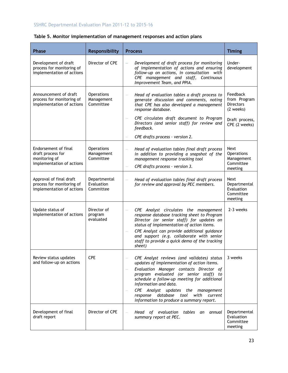#### SSHRC Departmental Evaluation Plan 2011-12 to 2015-16

| Table 5, Monitor implementation of management responses and action plans |  |  |
|--------------------------------------------------------------------------|--|--|
|                                                                          |  |  |

| <b>Phase</b>                                                                            | Responsibility                               | <b>Process</b>                                                                                                                                                                                                                                                                                                                                                                                       | <b>Timing</b>                                                   |
|-----------------------------------------------------------------------------------------|----------------------------------------------|------------------------------------------------------------------------------------------------------------------------------------------------------------------------------------------------------------------------------------------------------------------------------------------------------------------------------------------------------------------------------------------------------|-----------------------------------------------------------------|
| Development of draft<br>process for monitoring of<br>implementation of actions          | Director of CPE                              | Development of draft process for monitoring<br>of implementation of actions and ensuring<br>follow-up on actions, in consultation with<br>CPE management and staff, Continuous<br>Improvement Team, and PPIA.                                                                                                                                                                                        | Under-<br>development                                           |
| Announcement of draft<br>process for monitoring of<br>implementation of actions         | Operations<br>Management<br>Committee        | Head of evaluation tables a draft process to<br>$\overline{\phantom{0}}$<br>generate discussion and comments, noting<br>that CPE has also developed a management<br>response database.                                                                                                                                                                                                               | Feedback<br>from Program<br><b>Directors</b><br>(2 weeks)       |
|                                                                                         |                                              | CPE circulates draft document to Program<br>Directors (and senior staff) for review and<br>feedback.                                                                                                                                                                                                                                                                                                 | Draft process,<br>CPE (2 weeks)                                 |
|                                                                                         |                                              | CPE drafts process - version 2.                                                                                                                                                                                                                                                                                                                                                                      |                                                                 |
| Endorsement of final<br>draft process for<br>monitoring of<br>implementation of actions | <b>Operations</b><br>Management<br>Committee | Head of evaluation tables final draft process<br>in addition to providing a snapshot of the<br>management response tracking tool<br>CPE drafts process - version 3.                                                                                                                                                                                                                                  | Next<br><b>Operations</b><br>Management<br>Committee<br>meeting |
| Approval of final draft<br>process for monitoring of<br>implementation of actions       | Departmental<br>Evaluation<br>Committee      | Head of evaluation tables final draft process<br>for review and approval by PEC members.                                                                                                                                                                                                                                                                                                             | Next<br>Departmental<br>Evaluation<br>Committee<br>meeting      |
| Update status of<br>implementation of actions                                           | Director of<br>program<br>evaluated          | CPE Analyst circulates the management<br>response database tracking sheet to Program<br>Director (or senior staff) for updates on<br>status of implementation of action items.<br>CPE Analyst can provide additional guidance<br>and support (e.g. collaborate with senior<br>staff to provide a quick demo of the tracking<br>sheet)                                                                | 2-3 weeks                                                       |
| Review status updates<br>and follow-up on actions                                       | <b>CPE</b>                                   | CPE Analyst reviews (and validates) status<br>updates of implementation of action items.<br>Evaluation Manager contacts Director of<br>program evaluated (or senior staff) to<br>schedule a follow-up meeting for additional<br>information and data.<br><b>CPE</b><br>Analyst updates the management<br>database<br>response<br>tool<br>with<br>current<br>information to produce a summary report. | 3 weeks                                                         |
| Development of final<br>draft report                                                    | Director of CPE                              | evaluation<br>Head<br>tables<br>an<br>annual<br>οf<br>summary report at PEC.                                                                                                                                                                                                                                                                                                                         | Departmental<br>Evaluation<br>Committee<br>meeting              |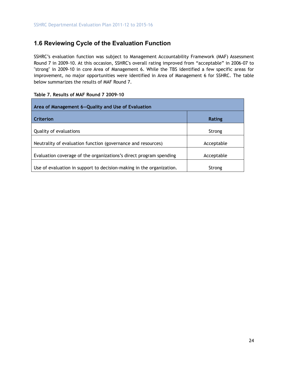#### **1.6 Reviewing Cycle of the Evaluation Function**

SSHRC's evaluation function was subject to Management Accountability Framework (MAF) Assessment Round 7 in 2009-10. At this occasion, SSHRC's overall rating improved from "acceptable" in 2006-07 to "strong" in 2009-10 in core Area of Management 6. While the TBS identified a few specific areas for improvement, no major opportunities were identified in Area of Management 6 for SSHRC. The table below summarizes the results of MAF Round 7.

| Area of Management 6-Quality and Use of Evaluation                   |               |
|----------------------------------------------------------------------|---------------|
| Criterion                                                            | <b>Rating</b> |
| Quality of evaluations                                               | Strong        |
| Neutrality of evaluation function (governance and resources)         | Acceptable    |
| Evaluation coverage of the organizations's direct program spending   | Acceptable    |
| Use of evaluation in support to decision-making in the organization. | Strong        |

|  |  | Table 7, Results of MAF Round 7 2009-10 |
|--|--|-----------------------------------------|
|  |  |                                         |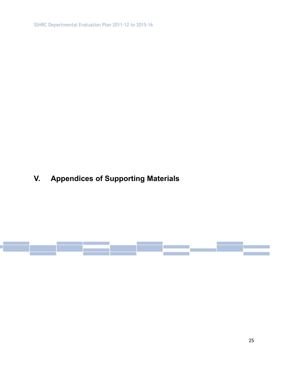SSHRC Departmental Evaluation Plan 2011-12 to 2015-16

# **V. Appendices of Supporting Materials**

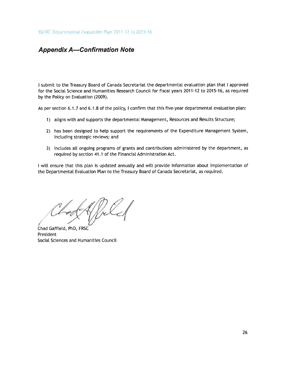SSHRC Departmental Evaluation Plan 2011-12 to 2015-16

#### **Appendix A-Confirmation Note**

I submit to the Treasury Board of Canada Secretariat the departmental evaluation plan that I approved for the Social Science and Humanities Research Council for fiscal years 2011-12 to 2015-16, as required by the Policy on Evaluation (2009).

As per section 6.1.7 and 6.1.8 of the policy, I confirm that this five-year departmental evaluation plan:

- 1) aligns with and supports the departmental Management, Resources and Results Structure;
- 2) has been designed to help support the requirements of the Expenditure Management System, including strategic reviews; and
- 3) includes all ongoing programs of grants and contributions administered by the department, as required by section 41.1 of the Financial Administration Act.

I will ensure that this plan is updated annually and will provide information about implementation of the Departmental Evaluation Plan to the Treasury Board of Canada Secretariat, as required.

Chad Gaffield, PhD, FRSC President Social Sciences and Humanities Council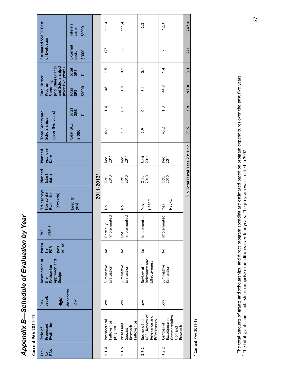| å              |
|----------------|
|                |
| ì              |
|                |
|                |
|                |
|                |
|                |
|                |
|                |
| ı              |
|                |
|                |
|                |
|                |
|                |
| п              |
| l              |
| i              |
|                |
| <b>SA 2012</b> |
|                |
|                |

**Current PAA 2011-12 Current PAA 2011-12** 

| Link<br><b>DAA</b> | Evaluation<br>Proposed<br>Title of                                                  | Level:<br>High/<br>Risk | Description of<br>Approach and<br>Evaluation<br>Design<br>the | Poten<br>$rac{yes}{or no}$<br>POR<br>tial | <b>Status</b><br><b>PMS</b>  | Tri-agency/<br>Evaluation<br>Horizontal<br>(Yes /No) | Planned<br>(start<br>date) | Approval<br>Planned<br>Date   | (over five years) <sup>1</sup><br><b>Total Grants and</b><br>Scholarships |                   | (including Grants<br>and Scholarships)<br>(over five years)<br><b>Total Direct</b><br>Spending<br>Program |                   | Estimated SSHRC Cost<br>of Evaluation |                             |
|--------------------|-------------------------------------------------------------------------------------|-------------------------|---------------------------------------------------------------|-------------------------------------------|------------------------------|------------------------------------------------------|----------------------------|-------------------------------|---------------------------------------------------------------------------|-------------------|-----------------------------------------------------------------------------------------------------------|-------------------|---------------------------------------|-----------------------------|
|                    |                                                                                     | Moderate/<br>Low        |                                                               |                                           |                              | Lead (if<br>yes)                                     |                            |                               | total G&S<br>000.\$                                                       | total<br>G&S<br>ৼ | 000.\$<br>total<br><b>DPS</b>                                                                             | total<br>DPS<br>ৼ | External<br>\$'000<br>costs           | Internal<br>\$'000<br>costs |
|                    |                                                                                     |                         |                                                               |                                           |                              | 2011-2012*                                           |                            |                               |                                                                           |                   |                                                                                                           |                   |                                       |                             |
| 1.1.4              | Postdoctoral<br>Fellowships<br>program                                              | $\sum_{i=1}^{\infty}$   | Summative<br>Evaluation                                       | $\frac{1}{2}$                             | implemented<br>Partially     | $\frac{1}{2}$                                        | <b>ດະ</b><br>2010          | Dec.<br>2011                  | 46.1                                                                      | $\frac{4}{1}$     | $\frac{8}{4}$                                                                                             | 1.5               | 125                                   | 111.4                       |
| 1.1.5              | Fellowships<br>Prizes and<br>Research<br>Special                                    | $\leq$                  | Summative<br>Evaluation                                       | $\frac{1}{2}$                             | implemented<br>$\frac{t}{2}$ | $\frac{1}{2}$                                        | <b>ດ</b><br>2010           | ្ត្រ<br>ក្នុង                 | $\overline{1}$ .                                                          | $\overline{0}$ .  | $\frac{8}{1}$                                                                                             | $\overline{0}$    | æ                                     | 111.4                       |
| 3.2.2              | NCE, Review of<br>Relevance and<br>Effectiveness<br>Business-led                    | <b>No</b>               | Relevance and<br>Effectiveness<br>Review of                   | $\frac{1}{2}$                             | Implemented                  | <b>NSERC</b><br>Yes                                  | <u>oct.</u><br>2010        | Sept.<br>2011                 | 2.9                                                                       | $\overline{C}$    | $\overline{3.1}$                                                                                          | $\overline{0}$ :  |                                       | 12.3                        |
| 3.2.2              | Commercializa-<br>Excellence for<br>Research <sup>2</sup><br>Centres of<br>tion and | Low                     | Summative<br>Evaluation                                       | $\frac{1}{2}$                             | Implemented                  | NSERC<br>Yes                                         | <u>oct.</u><br>2010        | <b>Dec.</b><br>2011           | 43.2                                                                      | $\ddot{1}$ .      | 44.9                                                                                                      | 1.4               |                                       | 12.3                        |
|                    |                                                                                     |                         |                                                               |                                           |                              |                                                      |                            | Sub Total Fiscal Year 2011-12 | 93.9                                                                      | 2.9               | 97.8                                                                                                      | 3.1               | 221                                   | 247.4                       |

\* Current PAA 2011-12 \* Current PAA 2011-12

<sup>&</sup>lt;sup>1</sup> The total amounts of grants and scholarships, and direct program spending are estimated based on program expenditures over the past five years.<br><sup>2</sup> The total grants and scholarships comprise expenditures over four year 1 The total amounts of grants and scholarships, and direct program spending are estimated based on program expenditures over the past five years.

 $^2$  The total grants and scholarships comprise expenditures over four years. The program was created in 2007.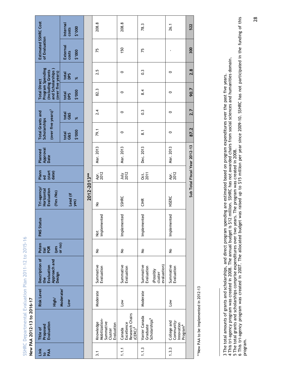SSHRC Departmental Evaluation Plan 2011-12 to 2015-16 SSHRC Departmental Evaluation Plan 2011-12 to 2015-16 New PAA 2012-13 to 2016-17

**New PAA 2012-13 to 2016-17**

|                                                                                                       | Internal<br>2'000<br>costs  |             | 208.8                                                            | 208.8                                                 | 78.3                                                           | 26.1                                                            | 522                           |
|-------------------------------------------------------------------------------------------------------|-----------------------------|-------------|------------------------------------------------------------------|-------------------------------------------------------|----------------------------------------------------------------|-----------------------------------------------------------------|-------------------------------|
| Estimated SSHRC Cost<br>of Evaluation                                                                 | External<br>\$'000<br>costs |             | 75                                                               | 150                                                   | 75                                                             |                                                                 | 300                           |
|                                                                                                       | total<br>DPS<br>৯ৎ          |             | 2.5                                                              | $\circ$                                               | $0.\overline{3}$                                               | $\circ$                                                         | 2.8                           |
| Program Spending<br>and Scholarships<br>(including Grants<br>(over five years)<br><b>Total Direct</b> | 000.\$<br>total<br>DPS      |             | 82.3                                                             | $\circ$                                               | 8.4                                                            | $\circ$                                                         | 90.7                          |
|                                                                                                       | total<br>G&S<br>৯ৎ          |             | 2.4                                                              | $\circ$                                               | $0.\overline{3}$                                               | $\circ$                                                         | 2.7                           |
| (over five years) <sup>3</sup><br><b>Total Grants and</b><br>Scholarships                             | 2000<br>total<br>G&S        |             | 79.1                                                             | $\circ$                                               | $\overline{\phantom{0}}$                                       | $\circ$                                                         | 87.2                          |
| Approval<br>Planned<br>Date                                                                           |                             |             | Mar. 2013                                                        | Mar. 2013                                             | Dec. 2013                                                      | Mar. 2013                                                       | Sub Total Fiscal Year 2012-13 |
| Plann<br>(start<br>date)<br>ಕ                                                                         |                             |             | Apr.<br>2012                                                     | <b>July</b><br>2012                                   | $\frac{1}{25}$                                                 | Apr.<br>2012                                                    |                               |
| Tri-agency/<br>Evaluation<br>Horizontal<br>(Yes /No)                                                  | Lead (if<br>yes)            | 2012-2013** | $\frac{1}{2}$                                                    | SSHRC                                                 | <b>EHR</b>                                                     | <b>NSERC</b>                                                    |                               |
| <b>PMS Status</b>                                                                                     |                             |             | implemented<br>$\frac{t}{2}$                                     | Implemented                                           | Implemented                                                    | Implemented                                                     |                               |
| Poten<br>$(yes)$<br>or no)<br>POR<br>tial                                                             |                             |             | $\frac{1}{2}$                                                    | $\frac{1}{2}$                                         | $\frac{1}{2}$                                                  | $\frac{1}{2}$                                                   |                               |
| Description of<br>Approach and<br>Design<br>Evaluation<br>the                                         |                             |             | Summative<br>Evaluation                                          | Summative<br>Evaluation                               | evaluation)<br>Summative<br>Evaluation<br>(Possibly<br>cluster | Summative<br>Evaluation                                         |                               |
| Risk Level<br>High/                                                                                   | Moderate/<br>Low            |             | Moderate                                                         | Lοw                                                   | Moderate                                                       | <b>No7</b>                                                      |                               |
| Proposed<br>Evaluation<br>Title of                                                                    |                             |             | Knowledge<br>Mobilization-<br>Summative<br>Evaluation<br>Cluster | Research Chairs<br>Canada<br>Excellence<br>$(CERC)^4$ | Vanier Canada<br>Graduate<br>Scholarships <sup>5</sup>         | Community-<br>College and<br>Innovation<br>Program <sup>6</sup> |                               |
| Link<br>to AA                                                                                         |                             |             | 3.1                                                              | 1.1.1                                                 | 1.1.3                                                          | 1.3.3                                                           |                               |

\*\*New PAA to be implemented in 2012-13 \*\*New PAA to be implemented in 2012-13

<sup>3</sup> The total amounts of grants and scholarships, and direct program spending are estimated based on program expenditures over the past five years.<br>4 This tri-agency program was created in 2008. The annual budget is \$12 mill 4 This tri-agency program was created in 2008. The annual budget is \$12 million. SSHRC has not awarded chairs from social sciences and humanities domain. 3 The total amounts of grants and scholarships, and direct program spending are estimated based on program expenditures over the past five years.

<sup>5</sup> The total grants and scholarships comprise expenditures over two years. The program was created in 2008.

<sup>6</sup> This tri-agency program was created in 2007. The allocated budget was raised up to \$15 million per year since 2009-10. SSHRC has not participated in the funding of this program. program.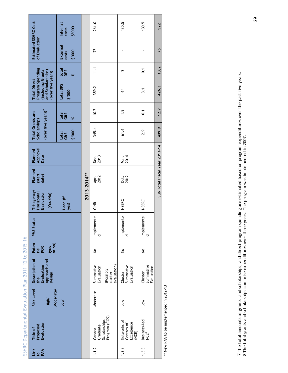|                                                       |                                                                                                        | Internal<br>2'000<br>costs  |             | 261.0                   |                                     | 130.5                                            | 130.5                              | 522                           |
|-------------------------------------------------------|--------------------------------------------------------------------------------------------------------|-----------------------------|-------------|-------------------------|-------------------------------------|--------------------------------------------------|------------------------------------|-------------------------------|
|                                                       | Estimated SSHRC Cost<br>of Evaluation                                                                  | External<br>\$'000<br>costs |             | 75                      |                                     |                                                  |                                    | 75                            |
|                                                       |                                                                                                        | total<br>DPS<br>ৼ           |             | $\frac{111}{11}$        |                                     | 2                                                | $\overline{c}$                     | 13.2                          |
|                                                       | Program Spending<br>(including Grants<br>and Scholarships)<br>(over five years)<br><b>Total Direct</b> | total DPS<br>000.\$         |             | 359.2                   |                                     | 3                                                | $\overline{3.1}$                   | 426.3                         |
|                                                       |                                                                                                        | total<br>G&S<br>ৼ           |             | 10.7                    |                                     | $\ddot{6}$ .                                     | $\overline{c}$                     | 12.7                          |
|                                                       | (over five years) <sup>7</sup><br><b>Total Grants and</b><br>Scholarships                              | 000.\$<br>total<br>G&S      |             | 345.4                   |                                     | 61.6                                             | 2.9                                | 409.9                         |
|                                                       | Approval<br>Date<br>Planned                                                                            |                             |             | Dec.<br>2013            |                                     | Mar.<br>2014                                     |                                    | Sub Total Fiscal Year 2013-14 |
|                                                       | Planned<br>(start<br>date)                                                                             |                             |             | Apr.<br>2012            |                                     | 0ct.<br>2012                                     |                                    |                               |
|                                                       | Tri-agency/<br>Evaluation<br>Horizontal<br>(Yes/No)                                                    | Lead (if<br>yes)            | 2013-2014** | <b>CIHR</b>             |                                     | <b>NSERC</b>                                     | <b>NSERC</b>                       |                               |
|                                                       | <b>PMS Status</b>                                                                                      |                             |             | Implemente<br>p         |                                     | Implemente<br>d                                  | Implemente<br>p                    |                               |
|                                                       | Poten<br>or no)<br>(yes<br>tial<br>POR                                                                 |                             |             | ş                       |                                     | $\frac{1}{2}$                                    | ş                                  |                               |
|                                                       | Description of<br>Approach and<br>Evaluation<br>Design<br>the                                          |                             |             | Summative<br>Evaluation | evaluation)<br>(Possibly<br>cluster | Summative<br>Evaluation<br>Cluster               | Summative<br>Evaluation<br>Cluster |                               |
|                                                       | Risk Level<br>Moderate/<br>High/                                                                       | <b>Low</b>                  |             | Moderate                |                                     | <b>No</b>                                        | $\sum$                             |                               |
| SSHRC Departmental Evaluation Plan 2011-12 to 2015-16 | Proposed<br>Evaluation<br>Title of                                                                     |                             |             | Canada<br>Graduate      | Program (CGS)<br>Scholarships       | Networks of<br>Excellence<br>Centres of<br>(NCE) | Business-led<br>NCE <sup>8</sup>   |                               |
|                                                       | Link<br>BAA                                                                                            |                             |             | 1.1.2                   |                                     | 1.3.3                                            | 1.3.3                              |                               |

\*\* New PAA to be implemented in 2012-13 \*\* New PAA to be implemented in 2012-13

<sup>7</sup> The total amounts of grants and scholarships, and direct program spending are estimated based on program expenditures over the past five years. 7 The total amounts of grants and scholarships, and direct program spending are estimated based on program expenditures over the past five years.<br>8 The total grants and scholarships comprise expenditures over three years. 8 The total grants and scholarships comprise expenditures over three years. The program was implemented in 2007.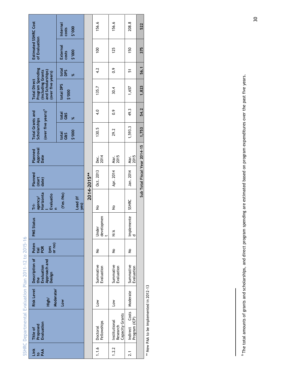|                    | SSHRC Departmental Evaluation Plan 2011-12 to 2015-16 |                    |                                                                                    |                               |                     |                                        |                            |                             |                                                                           |                    |                                                                                                         |                   |                                       |                            |
|--------------------|-------------------------------------------------------|--------------------|------------------------------------------------------------------------------------|-------------------------------|---------------------|----------------------------------------|----------------------------|-----------------------------|---------------------------------------------------------------------------|--------------------|---------------------------------------------------------------------------------------------------------|-------------------|---------------------------------------|----------------------------|
| Link<br>Dan<br>Pan | Evaluation<br>Proposed<br>Title of                    | Moderate/<br>High/ | Risk Level   Description of   Poten<br>Approach and<br>Evaluation<br>Design<br>the | or no)<br>(yes<br>POR<br>tial | <b>PMS Status</b>   | Horizonta<br>Evaluatio<br>agency/<br>Ė | Planned<br>(start<br>date) | Approval<br>Date<br>Planned | (over five years) <sup>9</sup><br><b>Total Grants and</b><br>Scholarships |                    | Program Spending<br>(including Grants)<br>and Scholarships)<br>(over five years)<br><b>Total Direct</b> |                   | Estimated SSHRC Cost<br>of Evaluation |                            |
|                    |                                                       | Low                |                                                                                    |                               |                     | (Yes/No)<br>Lead (if<br>yes)           |                            |                             | 000.\$<br>total<br>G&S                                                    | total<br>G&S<br>৯ৎ | total DPS<br>000.\$                                                                                     | total<br>DPS<br>ৼ | External<br>\$'000<br>costs           | Internal<br>2'000<br>costs |
|                    |                                                       |                    |                                                                                    |                               |                     |                                        | 2014-2015**                |                             |                                                                           |                    |                                                                                                         |                   |                                       |                            |
| 1.1.6              | Fellowships<br>Doctoral                               | <b>No</b>          | Summative<br>Evaluation                                                            | $\frac{1}{2}$                 | developmen<br>Under | $\frac{1}{2}$                          | Oct. 2013                  | Dec.<br>2014                | 130.5                                                                     | 4.0                | 135.7                                                                                                   | 4.2               | $\overline{5}$                        | 156.6                      |
| 1.2.2              | Capacity Grants<br>Institutional<br>Research          | $\overline{100}$   | Summative<br>Evaluation                                                            | $\frac{1}{2}$                 | $\frac{4}{2}$       | $\frac{1}{2}$                          | Apr. 2014                  | Mar.<br>2015                | 29.2                                                                      | $\frac{6}{1}$      | 30.4                                                                                                    | $\frac{6}{10}$    | 125                                   | 156.6                      |

\*\* New PAA to be implemented in 2012-13 \*\* New PAA to be implemented in 2012-13

2.1 Indirect Costs Program (ICP)

 $2.1$ 

Indirect Costs<br>Program (ICP)

Moderate Summative

Moderate

No Implemente Implemente<br>d

 $\frac{9}{2}$ 

SSHRC Jan. 2014 Mar.

SSHRC

Jan. 2014

Mar.<br>2015

1,593.3 49.3 1,657 51 150 208.8

1,657

49.3

1,593.3

 $\overline{5}$ 

208.8

150

522

375

56.1

1,823

**Sub Total Fiscal Year 2014-15 1,753 54.2 1,823 56.1 375 522** 

54.2

1,753

Sub Total Fiscal Year 2014-15

**Evaluation** 

Summative<br>Evaluation

<sup>9</sup> The total amounts of grants and scholarships, and direct program spending are estimated based on program expenditures over the past five years. 9 The total amounts of grants and scholarships, and direct program spending are estimated based on program expenditures over the past five years.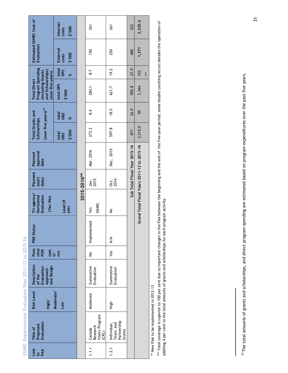| Link<br>PAA | Proposed<br>Evaluation<br>Title of                | <b>Risk Level</b><br>High/            | Description<br>and Design<br>of the<br>Evaluation<br>Approach | Pote<br>ntial<br>POR<br>Ves<br>or | <b>PMS Status</b> | Tri-agency/<br>Evaluation<br>Horizontal<br>(Yes/No) | Planned<br>(start<br>date) | Approval<br>Date<br>Planned   | (over five years) <sup>10</sup><br><b>Total Grants and</b><br>Scholarships |                   | Program Spending<br>(including Grants<br>and Scholarships)<br>(over five years)<br><b>Total Direct</b> |                   | Estimated SSHRC Cost of<br>Evaluation |                                   |
|-------------|---------------------------------------------------|---------------------------------------|---------------------------------------------------------------|-----------------------------------|-------------------|-----------------------------------------------------|----------------------------|-------------------------------|----------------------------------------------------------------------------|-------------------|--------------------------------------------------------------------------------------------------------|-------------------|---------------------------------------|-----------------------------------|
|             |                                                   | Moderate/<br>$\overline{\phantom{0}}$ |                                                               | $\widehat{P}$                     |                   | Lead (if<br>yes)                                    |                            |                               | 000.\$<br>total<br>G&S                                                     | total<br>G&S<br>ৼ | total DPS<br>000.\$                                                                                    | total<br>DPS<br>ৼ | External<br>\$'000<br>costs           | Internal<br>2'000<br><b>COStS</b> |
|             |                                                   |                                       |                                                               |                                   |                   |                                                     | 2015-2016**                |                               |                                                                            |                   |                                                                                                        |                   |                                       |                                   |
| 1.1.1       | Chairs Program<br>Canada<br>Research<br>(CRC)     | Moderate                              | Summative<br>Evaluation                                       | $\frac{1}{2}$                     | Implemented       | <b>SSHRC</b><br>Yes                                 | Jan.<br>2015               | Mar. 2016                     | 273.2                                                                      | 8.4               | 284.1                                                                                                  | 8.7               | 150                                   | 261                               |
| 1.2.1       | Team, and<br>Partnership<br>Individual,<br>Grants | High                                  | Summative<br>Evaluation                                       | Yes                               | $\leq$            | $\frac{1}{2}$                                       | 0៥.<br>2014                | Dec. 2015                     | 597.8                                                                      | 18.5              | 621.7                                                                                                  | 19.2              | 250                                   | 261                               |
|             |                                                   |                                       |                                                               |                                   |                   |                                                     |                            | Sub Total Fiscal Year 2015-16 | 871                                                                        | 26.9              | 905.8                                                                                                  | 27.9              | 400                                   | 522                               |
|             |                                                   |                                       |                                                               |                                   |                   | Grand Total Fiscal Years 2011-12 to 2015-16         |                            |                               | 3,215.0                                                                    | 99                | 3,344                                                                                                  | 103               | 1,371                                 | 2,335.4                           |
|             |                                                   |                                       |                                                               |                                   |                   |                                                     |                            |                               |                                                                            |                   |                                                                                                        | ***               |                                       |                                   |
|             | ** New PAA to be implemented in 2012-13           |                                       |                                                               |                                   |                   |                                                     |                            |                               |                                                                            |                   |                                                                                                        |                   |                                       |                                   |

\*\*\* Total coverage is superior to 100 per cent due to important changes in the PAA between the beginning and the end of the five-year period; some double counting occurs besides the operation of<br>additing 4 per cent to the \*\*\* Total coverage is superior to 100 per cent due to important changes in the PAA between the beginning and the end of the five-year period; some double counting occurs besides the operation of additing 4 per cent to the total amounts of grants and scholarships for each program activity.

<sup>10</sup> The total amounts of grants and scholarships, and direct program spending are estimated based on program expenditures over the past five years. <sup>10</sup> The total amounts of grants and scholarships, and direct program spending are estimated based on program expenditures over the past five years.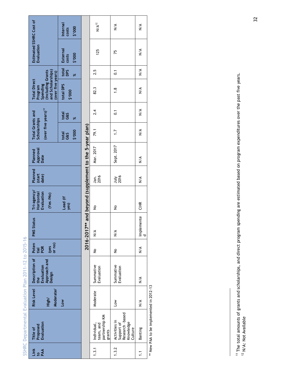|                                                       | Estimated SSHRC Cost of<br>Evaluation<br>(including Grants)<br>and Scholarships)<br>(over five years)<br><b>Total Direct</b><br>Spending<br>Program<br>(over five years) <sup>11</sup><br><b>Total Grants and</b><br>Scholarships<br>Approval<br>Planned<br>Date<br>Planned<br>(start<br>date)<br>Tri-agency/<br>Evaluation<br>Horizontal<br>(Yes/No) | Internal<br>2'000<br>costs<br>External<br>\$'000<br>costs<br>total<br>DPS<br>ৼ<br>total DPS<br>000.\$<br>total<br>G&S<br>৯ৎ<br>000,\$<br>total<br>G&S<br>Lead (if<br>yes) | 2016-2017** and beyond (supplement to the 5-year plan) | $N/A^{12}$<br>125<br>2.5<br>82.3<br>2.4<br>79.1<br>Mar. 2017<br>Jan.<br>2016<br>$\frac{1}{2}$ | $\frac{4}{2}$<br>75<br>$\overline{0}$ :<br>$\frac{8}{1}$<br>$\overline{C}$<br>$\ddot{ }$ :1<br>Sept. 2017<br><b>July</b><br>2016<br>$\frac{1}{2}$ | $\frac{4}{5}$<br>$\leq$<br>$\frac{4}{2}$<br>$\frac{4}{2}$<br>$\frac{4}{5}$<br>$\frac{4}{5}$<br>$\leq$<br>$\frac{4}{5}$<br><b>CIHR</b> |                                         |
|-------------------------------------------------------|-------------------------------------------------------------------------------------------------------------------------------------------------------------------------------------------------------------------------------------------------------------------------------------------------------------------------------------------------------|---------------------------------------------------------------------------------------------------------------------------------------------------------------------------|--------------------------------------------------------|-----------------------------------------------------------------------------------------------|---------------------------------------------------------------------------------------------------------------------------------------------------|---------------------------------------------------------------------------------------------------------------------------------------|-----------------------------------------|
|                                                       |                                                                                                                                                                                                                                                                                                                                                       |                                                                                                                                                                           |                                                        |                                                                                               |                                                                                                                                                   |                                                                                                                                       |                                         |
|                                                       |                                                                                                                                                                                                                                                                                                                                                       |                                                                                                                                                                           |                                                        |                                                                                               |                                                                                                                                                   |                                                                                                                                       |                                         |
|                                                       |                                                                                                                                                                                                                                                                                                                                                       |                                                                                                                                                                           |                                                        |                                                                                               |                                                                                                                                                   |                                                                                                                                       |                                         |
|                                                       |                                                                                                                                                                                                                                                                                                                                                       |                                                                                                                                                                           |                                                        |                                                                                               |                                                                                                                                                   |                                                                                                                                       |                                         |
|                                                       | <b>PMS Status</b>                                                                                                                                                                                                                                                                                                                                     |                                                                                                                                                                           |                                                        | $\frac{4}{2}$                                                                                 | $\frac{4}{2}$                                                                                                                                     | Implemente<br>Ō                                                                                                                       |                                         |
|                                                       | Poten<br>or no)<br>$y$ es<br>POR<br>tial                                                                                                                                                                                                                                                                                                              |                                                                                                                                                                           |                                                        | $\frac{1}{2}$                                                                                 | $\frac{1}{2}$                                                                                                                                     | $\frac{4}{2}$                                                                                                                         |                                         |
|                                                       | Description of<br>Approach and<br>Evaluation<br>Design<br>the                                                                                                                                                                                                                                                                                         |                                                                                                                                                                           |                                                        | Summative<br>Evaluation                                                                       | Summative<br>Evaluation                                                                                                                           | $\frac{4}{2}$                                                                                                                         |                                         |
|                                                       | <b>Risk Level</b><br>Moderate/<br>High/                                                                                                                                                                                                                                                                                                               | <b>Low</b>                                                                                                                                                                |                                                        | Moderate                                                                                      | Low                                                                                                                                               | $\frac{4}{2}$                                                                                                                         |                                         |
| SSHRC Departmental Evaluation Plan 2011-12 to 2015-16 | Evaluation<br>Proposed<br>Title of                                                                                                                                                                                                                                                                                                                    |                                                                                                                                                                           |                                                        | partnership KM<br>Individual,<br>team, and<br>grants                                          | Research -based<br>Activities in<br>Knowledge<br>Support of<br>Culture                                                                            | Banting                                                                                                                               | ** Now DAA to be implemented in 2012-12 |
|                                                       | Link<br>PAA                                                                                                                                                                                                                                                                                                                                           |                                                                                                                                                                           |                                                        | 1.3.1                                                                                         | 1.3.2                                                                                                                                             | $\sum$                                                                                                                                |                                         |

New PAA to be implemented in 2012-13 \*\* New PAA to be implemented in 2012-13

<sup>&</sup>lt;sup>11</sup> The total amounts of grants and scholarships, and direct program spending are estimated based on program expenditures over the past five years.<br><sup>12</sup> N/A: Not Available 11 The total amounts of grants and scholarships, and direct program spending are estimated based on program expenditures over the past five years.  $12$  N/A: Not Available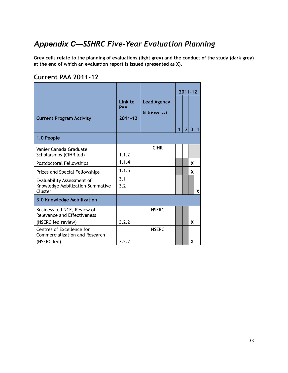# *Appendix C—SSHRC Five-Year Evaluation Planning*

**Grey cells relate to the planning of evaluations (light grey) and the conduct of the study (dark grey) at the end of which an evaluation report is issued (presented as X).** 

#### **Current PAA 2011-12**

| Link to<br><b>PAA</b><br>$2011 - 12$ | <b>Lead Agency</b><br>(if tri-agency) | 1            | $\overline{2}$ | 3 | $\overline{4}$        |
|--------------------------------------|---------------------------------------|--------------|----------------|---|-----------------------|
|                                      |                                       |              |                |   |                       |
| 1.1.2                                | <b>CIHR</b>                           |              |                |   |                       |
| 1.1.4                                |                                       |              |                | X |                       |
| 1.1.5                                |                                       |              |                | x |                       |
| 3.1<br>3.2                           |                                       |              |                |   | X                     |
|                                      |                                       |              |                |   |                       |
|                                      | <b>NSERC</b>                          |              |                |   |                       |
|                                      |                                       |              |                |   |                       |
|                                      |                                       |              |                |   |                       |
|                                      | 3.2.2<br>3.2.2                        | <b>NSERC</b> |                |   | $2011 - 12$<br>X<br>х |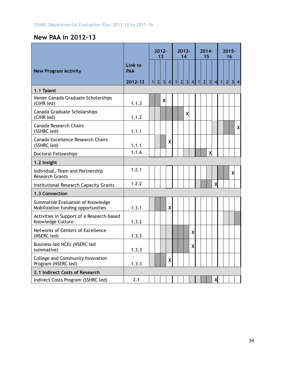# **New PAA in 2012-13**

|                                                                         |                                  |              |                | $2012 -$<br>13 |              |  | $2013 -$<br>14 |   |                | $2014 -$       | 15                      |                           |                | $2015 -$<br>16 |            |                           |
|-------------------------------------------------------------------------|----------------------------------|--------------|----------------|----------------|--------------|--|----------------|---|----------------|----------------|-------------------------|---------------------------|----------------|----------------|------------|---------------------------|
| <b>New Program Activity</b>                                             | Link to<br><b>PAA</b><br>2012-13 | $\mathbf{1}$ | $\overline{2}$ |                | 3 4 1 2 3 4  |  |                |   | $\overline{1}$ | $\overline{2}$ | $\overline{\mathbf{3}}$ | -4                        | $\overline{1}$ | $\overline{2}$ | $3 \mid 4$ |                           |
| 1.1 Talent                                                              |                                  |              |                |                |              |  |                |   |                |                |                         |                           |                |                |            |                           |
| Vanier Canada Graduate Scholarships<br>(CIHR led)                       | 1.1.3                            |              |                | X              |              |  |                |   |                |                |                         |                           |                |                |            |                           |
| Canada Graduate Scholarships<br>(CIHR led)                              | 1.1.2                            |              |                |                |              |  | X              |   |                |                |                         |                           |                |                |            |                           |
| <b>Canada Research Chairs</b><br>(SSHRC led)                            | 1.1.1                            |              |                |                |              |  |                |   |                |                |                         |                           |                |                |            | $\boldsymbol{\mathsf{x}}$ |
| Canada Excellence Research Chairs<br>(SSHRC led)                        | 1.1.1                            |              |                |                | X            |  |                |   |                |                |                         |                           |                |                |            |                           |
| <b>Doctoral Fellowships</b>                                             | 1.1.6                            |              |                |                |              |  |                |   |                |                | X                       |                           |                |                |            |                           |
| 1.2 Insight                                                             |                                  |              |                |                |              |  |                |   |                |                |                         |                           |                |                |            |                           |
| Individual, Team and Partnership<br><b>Research Grants</b>              | 1.2.1                            |              |                |                |              |  |                |   |                |                |                         |                           |                |                | X          |                           |
| Institutional Research Capacity Grants                                  | 1.2.2                            |              |                |                |              |  |                |   |                |                |                         | $\boldsymbol{\mathsf{X}}$ |                |                |            |                           |
| 1.3 Connection                                                          |                                  |              |                |                |              |  |                |   |                |                |                         |                           |                |                |            |                           |
| Summative Evaluation of Knowledge<br>Mobilization funding opportunities | 1.3.1                            |              |                |                | $\mathsf{X}$ |  |                |   |                |                |                         |                           |                |                |            |                           |
| Activities in Support of a Research-based<br>Knowledge Culture          | 1.3.2                            |              |                |                |              |  |                |   |                |                |                         |                           |                |                |            |                           |
| Networks of Centers of Excellence<br>(NSERC led)                        | 1.3.3                            |              |                |                |              |  |                | X |                |                |                         |                           |                |                |            |                           |
| Business-led NCEs (NSERC led<br>summative)                              | 1.3.3                            |              |                |                |              |  |                | X |                |                |                         |                           |                |                |            |                           |
| College and Community Innovation<br>Program (NSERC led)                 | 1.3.3                            |              |                |                | X            |  |                |   |                |                |                         |                           |                |                |            |                           |
| 2.1 Indirect Costs of Research                                          |                                  |              |                |                |              |  |                |   |                |                |                         |                           |                |                |            |                           |
| Indirect Costs Program (SSHRC led)                                      | 2.1                              |              |                |                |              |  |                |   |                |                |                         | X                         |                |                |            |                           |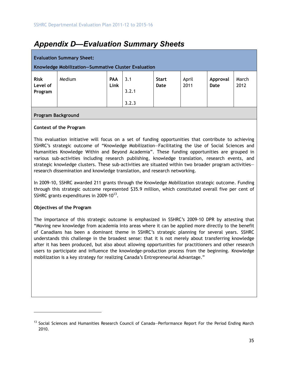# *Appendix D—Evaluation Summary Sheets*

|                                    | <b>Evaluation Summary Sheet:</b><br>Knowledge Mobilization-Summative Cluster Evaluation |                    |                       |                             |               |                  |               |
|------------------------------------|-----------------------------------------------------------------------------------------|--------------------|-----------------------|-----------------------------|---------------|------------------|---------------|
| <b>Risk</b><br>Level of<br>Program | Medium                                                                                  | <b>PAA</b><br>Link | 3.1<br>3.2.1<br>3.2.3 | <b>Start</b><br><b>Date</b> | April<br>2011 | Approval<br>Date | March<br>2012 |

#### **Program Background**

#### **Context of the Program**

This evaluation initiative will focus on a set of funding opportunities that contribute to achieving SSHRC's strategic outcome of "Knowledge Mobilization—Facilitating the Use of Social Sciences and Humanities Knowledge Within and Beyond Academia". These funding opportunities are grouped in various sub-activities including research publishing, knowledge translation, research events, and strategic knowledge clusters. These sub-activities are situated within two broader program activities research dissemination and knowledge translation, and research networking.

In 2009-10, SSHRC awarded 211 grants through the Knowledge Mobilization strategic outcome. Funding through this strategic outcome represented \$35.9 million, which constituted overall five per cent of SSHRC grants expenditures in 2009-10 $^{13}$ .

#### **Objectives of the Program**

l

The importance of this strategic outcome is emphasized in SSHRC's 2009-10 DPR by attesting that "Moving new knowledge from academia into areas where it can be applied more directly to the benefit of Canadians has been a dominant theme in SSHRC's strategic planning for several years. SSHRC understands this challenge in the broadest sense: that it is not merely about transferring knowledge after it has been produced, but also about allowing opportunities for practitioners and other research users to participate and influence the knowledge-production process from the beginning. Knowledge mobilization is a key strategy for realizing Canada's Entrepreneurial Advantage."

<sup>&</sup>lt;sup>13</sup> Social Sciences and Humanities Research Council of Canada–Performance Report For the Period Ending March 2010.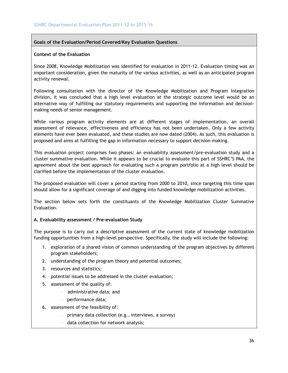#### **Goals of the Evaluation/Period Covered/Key Evaluation Questions**

#### **Context of the Evaluation**

Since 2008, Knowledge Mobilization was identified for evaluation in 2011-12. Evaluation timing was an important consideration, given the maturity of the various activities, as well as an anticipated program activity renewal.

Following consultation with the director of the Knowledge Mobilization and Program Integration division, it was concluded that a high level evaluation at the strategic outcome level would be an alternative way of fulfilling our statutory requirements and supporting the information and decisionmaking needs of senior management.

While various program activity elements are at different stages of implementation, an overall assessment of relevance, effectiveness and efficiency has not been undertaken. Only a few activity elements have ever been evaluated, and these studies are now dated (2004). As such, this evaluation is proposed and aims at fulfilling the gap in information necessary to support decision-making.

This evaluation project comprises two phases: an evaluability assessment/pre-evaluation study and a cluster summative evaluation. While it appears to be crucial to evaluate this part of SSHRC'S PAA, the agreement about the best approach for evaluating such a program portfolio at a high level should be clarified before the implementation of the cluster evaluation.

The proposed evaluation will cover a period starting from 2000 to 2010, since targeting this time span should allow for a significant coverage of and digging into funded knowledge mobilization activities.

The section below sets forth the constituants of the Knowledge Mobilization Cluster Summative Evaluation.

#### **A. Evaluability assessment / Pre-evaluation Study**

The purpose is to carry out a descriptive assessment of the current state of knowledge mobilization funding opportunities from a high-level perspective. Specifically, the study will include the following:

- 1. exploration of a shared vision of common understanding of the program objectives by different program stakeholders;
- 2. understanding of the program theory and potential outcomes;
- 3. resources and statistics;
- 4. potential issues to be addressed in the cluster evaluation;
- 5. assessment of the quality of:
	- administrative data; and
	- performance data;
- 6. assessment of the feasibility of:
	- primary data collection (e.g., interviews, a survey)
	- data collection for network analysis;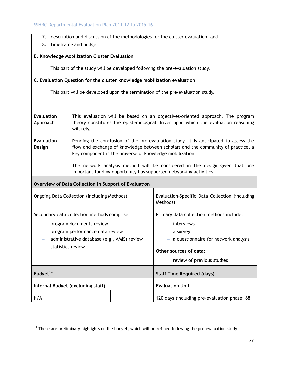- 7. description and discussion of the methodologies for the cluster evaluation; and
- 8. timeframe and budget.

#### **B. Knowledge Mobilization Cluster Evaluation**

– This part of the study will be developed following the pre-evaluation study.

#### **C. Evaluation Question for the cluster knowledge mobilization evaluation**

– This part will be developed upon the termination of the pre-evaluation study.

| <b>Evaluation</b><br>Approach | This evaluation will be based on an objectives-oriented approach. The program<br>theory constitutes the epistemological driver upon which the evaluation reasoning<br>will rely.                                                    |
|-------------------------------|-------------------------------------------------------------------------------------------------------------------------------------------------------------------------------------------------------------------------------------|
| <b>Evaluation</b><br>Design   | Pending the conclusion of the pre-evaluation study, it is anticipated to assess the<br>flow and exchange of knowledge between scholars and the community of practice, a<br>key component in the universe of knowledge mobilization. |
|                               | The network analysis method will be considered in the design given that one<br>important funding opportunity has supported networking activities.                                                                                   |

#### **Overview of Data Collection in Support of Evaluation**

l

| Ongoing Data Collection (including Methods)                                                                                                                                    | Evaluation-Specific Data Collection (including<br>Methods)                                                                                                             |
|--------------------------------------------------------------------------------------------------------------------------------------------------------------------------------|------------------------------------------------------------------------------------------------------------------------------------------------------------------------|
| Secondary data collection methods comprise:<br>program documents review<br>program performance data review<br>administrative database (e.g., AMIS) review<br>statistics review | Primary data collection methods include:<br>- interviews<br>a survey<br>a questionnaire for network analysis<br>Other sources of data:<br>- review of previous studies |
| Budget <sup>14</sup>                                                                                                                                                           | <b>Staff Time Required (days)</b>                                                                                                                                      |
| Internal Budget (excluding staff)                                                                                                                                              | <b>Evaluation Unit</b>                                                                                                                                                 |
| N/A                                                                                                                                                                            | 120 days (including pre-evaluation phase: 88                                                                                                                           |

 $14$  These are preliminary highlights on the budget, which will be refined following the pre-evaluation study.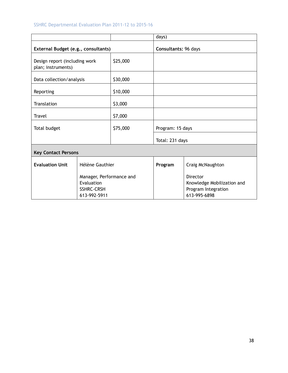#### SSHRC Departmental Evaluation Plan 2011-12 to 2015-16

|                                                     |                                                                             |          | days)                |                                                                               |
|-----------------------------------------------------|-----------------------------------------------------------------------------|----------|----------------------|-------------------------------------------------------------------------------|
| External Budget (e.g., consultants)                 |                                                                             |          | Consultants: 96 days |                                                                               |
| Design report (including work<br>plan; instruments) |                                                                             | \$25,000 |                      |                                                                               |
| Data collection/analysis                            |                                                                             | \$30,000 |                      |                                                                               |
| Reporting                                           |                                                                             | \$10,000 |                      |                                                                               |
| Translation                                         |                                                                             | \$3,000  |                      |                                                                               |
| <b>Travel</b>                                       |                                                                             | \$7,000  |                      |                                                                               |
| Total budget                                        |                                                                             | \$75,000 | Program: 15 days     |                                                                               |
|                                                     |                                                                             |          | Total: 231 days      |                                                                               |
| <b>Key Contact Persons</b>                          |                                                                             |          |                      |                                                                               |
| <b>Evaluation Unit</b>                              | Hélène Gauthier                                                             |          | Program              | Craig McNaughton                                                              |
|                                                     | Manager, Performance and<br>Evaluation<br><b>SSHRC-CRSH</b><br>613-992-5911 |          |                      | Director<br>Knowledge Mobilization and<br>Program Integration<br>613-995-6898 |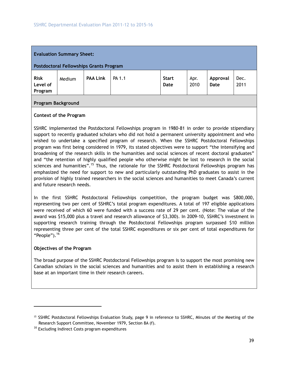|                                    | <b>Evaluation Summary Sheet:</b><br><b>Postdoctoral Fellowships Grants Program</b> |                 |        |                             |              |                  |              |
|------------------------------------|------------------------------------------------------------------------------------|-----------------|--------|-----------------------------|--------------|------------------|--------------|
| <b>Risk</b><br>Level of<br>Program | Medium                                                                             | <b>PAA Link</b> | PA 1.1 | <b>Start</b><br><b>Date</b> | Apr.<br>2010 | Approval<br>Date | Dec.<br>2011 |

#### **Program Background**

#### **Context of the Program**

SSHRC implemented the Postdoctoral Fellowships program in 1980-81 in order to provide stipendiary support to recently graduated scholars who did not hold a permanent university appointment and who wished to undertake a specified program of research. When the SSHRC Postdoctoral Fellowships program was first being considered in 1979, its stated objectives were to support "the intensifying and broadening of the research skills in the humanities and social sciences of recent doctoral graduates" and "the retention of highly qualified people who otherwise might be lost to research in the social sciences and humanities".<sup>15</sup> Thus, the rationale for the SSHRC Postdoctoral Fellowships program has emphasized the need for support to new and particularly outstanding PhD graduates to assist in the provision of highly trained researchers in the social sciences and humanities to meet Canada's current and future research needs.

In the first SSHRC Postdoctoral Fellowships competition, the program budget was \$800,000, representing two per cent of SSHRC's total program expenditures. A total of 197 eligible applications were received of which 60 were funded with a success rate of 29 per cent. (Note: The value of the award was \$15,000 plus a travel and research allowance of \$3,300). In 2009-10, SSHRC's investment in supporting research training through the Postdoctoral Fellowships program surpassed \$10 million representing three per cent of the total SSHRC expenditures or six per cent of total expenditures for "People" $)$ .<sup>16</sup>

#### **Objectives of the Program**

 $\overline{a}$ 

The broad purpose of the SSHRC Postdoctoral Fellowships program is to support the most promising new Canadian scholars in the social sciences and humanities and to assist them in establishing a research base at an important time in their research careers.

<sup>&</sup>lt;sup>15</sup> SSHRC Postdoctoral Fellowships Evaluation Study, page 9 in reference to SSHRC, Minutes of the Meeting of the Research Support Committee, November 1979, Section 8A (f).

<sup>&</sup>lt;sup>16</sup> Excluding Indirect Costs program expenditures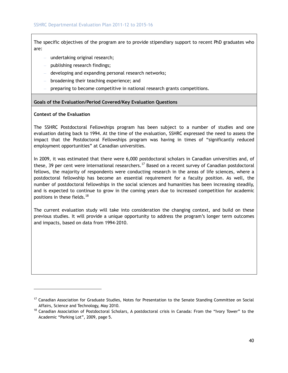The specific objectives of the program are to provide stipendiary support to recent PhD graduates who are:

- undertaking original research;
- publishing research findings;
- developing and expanding personal research networks;
- broadening their teaching experience; and
- preparing to become competitive in national research grants competitions.

#### **Goals of the Evaluation/Period Covered/Key Evaluation Questions**

#### **Context of the Evaluation**

l

The SSHRC Postdoctoral Fellowships program has been subject to a number of studies and one evaluation dating back to 1994. At the time of the evaluation, SSHRC expressed the need to assess the impact that the Postdoctoral Fellowships program was having in times of "significantly reduced employment opportunities" at Canadian universities.

In 2009, it was estimated that there were 6,000 postdoctoral scholars in Canadian universities and, of these, 39 per cent were international researchers.<sup>17</sup> Based on a recent survey of Canadian postdoctoral fellows, the majority of respondents were conducting research in the areas of life sciences, where a postdoctoral fellowship has become an essential requirement for a faculty position. As well, the number of postdoctoral fellowships in the social sciences and humanities has been increasing steadily, and is expected to continue to grow in the coming years due to increased competition for academic positions in these fields.<sup>18</sup>

The current evaluation study will take into consideration the changing context, and build on these previous studies. It will provide a unique opportunity to address the program's longer term outcomes and impacts, based on data from 1994-2010.

<sup>&</sup>lt;sup>17</sup> Canadian Association for Graduate Studies, Notes for Presentation to the Senate Standing Committee on Social Affairs, Science and Technology, May 2010.<br><sup>18</sup> Canadian Association of Postdoctoral Scholars, A postdoctoral crisis in Canada: From the "Ivory Tower" to the

Academic "Parking Lot", 2009, page 5.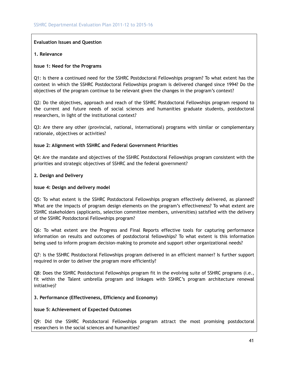#### **Evaluation Issues and Question**

#### **1. Relevance**

#### **Issue 1: Need for the Programs**

Q1: Is there a continued need for the SSHRC Postdoctoral Fellowships program? To what extent has the context in which the SSHRC Postdoctoral Fellowships program is delivered changed since 1994? Do the objectives of the program continue to be relevant given the changes in the program's context?

Q2: Do the objectives, approach and reach of the SSHRC Postdoctoral Fellowships program respond to the current and future needs of social sciences and humanities graduate students, postdoctoral researchers, in light of the institutional context?

Q3: Are there any other (provincial, national, international) programs with similar or complementary rationale, objectives or activities?

#### **Issue 2: Alignment with SSHRC and Federal Government Priorities**

Q4: Are the mandate and objectives of the SSHRC Postdoctoral Fellowships program consistent with the priorities and strategic objectives of SSHRC and the federal government?

#### **2. Design and Delivery**

#### **Issue 4: Design and delivery model**

Q5: To what extent is the SSHRC Postdoctoral Fellowships program effectively delivered, as planned? What are the impacts of program design elements on the program's effectiveness? To what extent are SSHRC stakeholders (applicants, selection committee members, universities) satisfied with the delivery of the SSHRC Postdoctoral Fellowships program?

Q6: To what extent are the Progress and Final Reports effective tools for capturing performance information on results and outcomes of postdoctoral fellowships? To what extent is this information being used to inform program decision-making to promote and support other organizational needs?

Q7: Is the SSHRC Postdoctoral Fellowships program delivered in an efficient manner? Is further support required in order to deliver the program more efficiently?

Q8: Does the SSHRC Postdoctoral Fellowships program fit in the evolving suite of SSHRC programs (i.e., fit within the Talent umbrella program and linkages with SSHRC's program architecture renewal initiative)?

#### **3. Performance (Effectiveness, Efficiency and Economy)**

#### **Issue 5: Achievement of Expected Outcomes**

Q9: Did the SSHRC Postdoctoral Fellowships program attract the most promising postdoctoral researchers in the social sciences and humanities?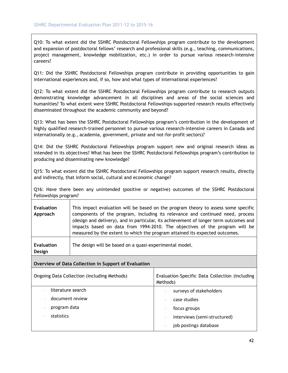Q10: To what extent did the SSHRC Postdoctoral Fellowships program contribute to the development and expansion of postdoctoral fellows' research and professional skills (e.g., teaching, communications, project management, knowledge mobilization, etc.) in order to pursue various research-intensive careers?

Q11: Did the SSHRC Postdoctoral Fellowships program contribute in providing opportunities to gain international experiences and, if so, how and what types of international experiences?

Q12: To what extent did the SSHRC Postdoctoral Fellowships program contribute to research outputs demonstrating knowledge advancement in all disciplines and areas of the social sciences and humanities? To what extent were SSHRC Postdoctoral Fellowships-supported research results effectively disseminated throughout the academic community and beyond?

Q13: What has been the SSHRC Postdoctoral Fellowships program's contribution in the development of highly qualified research-trained personnel to pursue various research-intensive careers in Canada and internationally (e.g., academia, government, private and not-for-profit sectors)?

Q14: Did the SSHRC Postdoctoral Fellowships program support new and original research ideas as intended in its objectives? What has been the SSHRC Postdoctoral Fellowships program's contribution to producing and disseminating new knowledge?

Q15: To what extent did the SSHRC Postdoctoral Fellowships program support research results, directly and indirectly, that inform social, cultural and economic change?

Q16: Have there been any unintended (positive or negative) outcomes of the SSHRC Postdoctoral Fellowships program?

| <b>Evaluation</b><br>Approach | This impact evaluation will be based on the program theory to assess some specific<br>components of the program, including its relevance and continued need, process<br>(design and delivery), and in particular, its achievement of longer term outcomes and<br>impacts based on data from 1994-2010. The objectives of the program will be<br>measured by the extent to which the program attained its expected outcomes. |
|-------------------------------|-----------------------------------------------------------------------------------------------------------------------------------------------------------------------------------------------------------------------------------------------------------------------------------------------------------------------------------------------------------------------------------------------------------------------------|
| <b>Evaluation</b><br>Design   | The design will be based on a quasi-experimental model.                                                                                                                                                                                                                                                                                                                                                                     |

#### **Overview of Data Collection in Support of Evaluation**

| Ongoing Data Collection (including Methods) | Evaluation-Specific Data Collection (including<br>Methods) |
|---------------------------------------------|------------------------------------------------------------|
| literature search                           | surveys of stakeholders                                    |
| document review                             | case studies                                               |
| program data                                | focus groups                                               |
| statistics                                  | interviews (semi-structured)                               |
|                                             | job postings database                                      |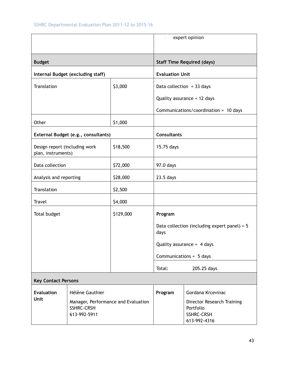|                                                     |                                                                          |           |                             | expert opinion                                                               |
|-----------------------------------------------------|--------------------------------------------------------------------------|-----------|-----------------------------|------------------------------------------------------------------------------|
| <b>Budget</b>                                       |                                                                          |           |                             | <b>Staff Time Required (days)</b>                                            |
|                                                     | Internal Budget (excluding staff)                                        |           | <b>Evaluation Unit</b>      |                                                                              |
| Translation                                         |                                                                          | \$3,000   | Data collection = $33$ days |                                                                              |
|                                                     |                                                                          |           |                             | Quality assurance = 12 days                                                  |
|                                                     |                                                                          |           |                             | Communications/coordination = 10 days                                        |
| Other                                               |                                                                          | \$1,000   |                             |                                                                              |
|                                                     | External Budget (e.g., consultants)                                      |           | <b>Consultants</b>          |                                                                              |
| Design report (including work<br>plan, instruments) |                                                                          | \$18,500  | 15.75 days                  |                                                                              |
| Data collection                                     |                                                                          | \$72,000  | 97.0 days                   |                                                                              |
| Analysis and reporting                              |                                                                          | \$28,000  | 23.5 days                   |                                                                              |
| Translation                                         |                                                                          | \$2,500   |                             |                                                                              |
| Travel                                              |                                                                          | \$4,000   |                             |                                                                              |
| Total budget                                        |                                                                          | \$129,000 | Program                     |                                                                              |
|                                                     |                                                                          |           | days                        | Data collection (including expert panel) = $5$                               |
|                                                     |                                                                          |           |                             | Quality assurance = $4$ days                                                 |
|                                                     |                                                                          |           |                             | Communications = 5 days                                                      |
|                                                     |                                                                          |           | Total:                      | 205.25 days                                                                  |
| <b>Key Contact Persons</b>                          |                                                                          |           |                             |                                                                              |
| <b>Evaluation</b>                                   | Hélène Gauthier                                                          |           | Program                     | Gordana Krcevinac                                                            |
| <b>Unit</b>                                         | Manager, Performance and Evaluation<br><b>SSHRC-CRSH</b><br>613-992-5911 |           |                             | Director Research Training<br>Portfolio<br><b>SSHRC-CRSH</b><br>613-992-4316 |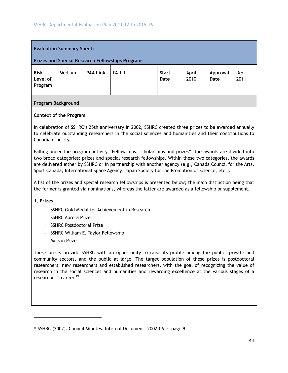|                                    | <b>Evaluation Summary Sheet:</b> |                 | <b>Prizes and Special Research Fellowships Programs</b> |                      |               |                  |              |
|------------------------------------|----------------------------------|-----------------|---------------------------------------------------------|----------------------|---------------|------------------|--------------|
| <b>Risk</b><br>Level of<br>Program | Medium                           | <b>PAA Link</b> | PA 1.1                                                  | <b>Start</b><br>Date | April<br>2010 | Approval<br>Date | Dec.<br>2011 |

#### **Program Background**

#### **Context of the Program**

In celebration of SSHRC's 25th anniversary in 2002, SSHRC created three prizes to be awarded annually to celebrate outstanding researchers in the social sciences and humanities and their contributions to Canadian society.

Falling under the program activity "Fellowships, scholarships and prizes", the awards are divided into two broad categories: prizes and special research fellowships. Within these two categories, the awards are delivered either by SSHRC or in partnership with another agency (e.g., Canada Council for the Arts, Sport Canada, International Space Agency, Japan Society for the Promotion of Science, etc.).

A list of the prizes and special research fellowships is presented below; the main distinction being that the former is granted via nominations, whereas the latter are awarded as a fellowship or supplement.

#### **1. Prizes**

 $\overline{a}$ 

- SSHRC Gold Medal for Achievement in Research
- SSHRC Aurora Prize
- SSHRC Postdoctoral Prize
- SSHRC William E. Taylor Fellowship
- Molson Prize

These prizes provide SSHRC with an opportunity to raise its profile among the public, private and community sectors, and the public at large. The target population of these prizes is postdoctoral researchers, new researchers and established researchers, with the goal of recognizing the value of research in the social sciences and humanities and rewarding excellence at the various stages of a researcher's career.19

<sup>&</sup>lt;sup>19</sup> SSHRC (2002). Council Minutes. Internal Document: 2002-06-e, page 9.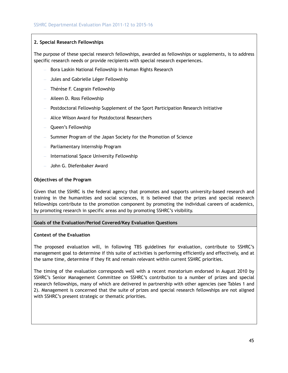#### **2. Special Research Fellowships**

The purpose of these special research fellowships, awarded as fellowships or supplements, is to address specific research needs or provide recipients with special research experiences.

- Bora Laskin National Fellowship in Human Rights Research
- Jules and Gabrielle Léger Fellowship
- Thérèse F. Casgrain Fellowship
- Aileen D. Ross Fellowship
- Postdoctoral Fellowship Supplement of the Sport Participation Research Initiative
- Alice Wilson Award for Postdoctoral Researchers
- Queen's Fellowship
- Summer Program of the Japan Society for the Promotion of Science
- Parliamentary Internship Program
- International Space University Fellowship
- John G. Diefenbaker Award

#### **Objectives of the Program**

Given that the SSHRC is the federal agency that promotes and supports university-based research and training in the humanities and social sciences, it is believed that the prizes and special research fellowships contribute to the promotion component by promoting the individual careers of academics, by promoting research in specific areas and by promoting SSHRC's visibility.

#### **Goals of the Evaluation/Period Covered/Key Evaluation Questions**

#### **Context of the Evaluation**

The proposed evaluation will, in following TBS guidelines for evaluation, contribute to SSHRC's management goal to determine if this suite of activities is performing efficiently and effectively, and at the same time, determine if they fit and remain relevant within current SSHRC priorities.

The timing of the evaluation corresponds well with a recent moratorium endorsed in August 2010 by SSHRC's Senior Management Committee on SSHRC's contribution to a number of prizes and special research fellowships, many of which are delivered in partnership with other agencies (see Tables 1 and 2). Management is concerned that the suite of prizes and special research fellowships are not aligned with SSHRC's present strategic or thematic priorities.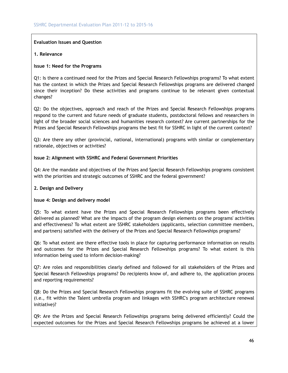#### **Evaluation Issues and Question**

#### **1. Relevance**

#### **Issue 1: Need for the Programs**

Q1: Is there a continued need for the Prizes and Special Research Fellowships programs? To what extent has the context in which the Prizes and Special Research Fellowships programs are delivered changed since their inception? Do these activities and programs continue to be relevant given contextual changes?

Q2: Do the objectives, approach and reach of the Prizes and Special Research Fellowships programs respond to the current and future needs of graduate students, postdoctoral fellows and researchers in light of the broader social sciences and humanities research context? Are current partnerships for the Prizes and Special Research Fellowships programs the best fit for SSHRC in light of the current context?

Q3: Are there any other (provincial, national, international) programs with similar or complementary rationale, objectives or activities?

#### **Issue 2: Alignment with SSHRC and Federal Government Priorities**

Q4: Are the mandate and objectives of the Prizes and Special Research Fellowships programs consistent with the priorities and strategic outcomes of SSHRC and the federal government?

#### **2. Design and Delivery**

#### **Issue 4: Design and delivery model**

Q5: To what extent have the Prizes and Special Research Fellowships programs been effectively delivered as planned? What are the impacts of the program design elements on the programs' activities and effectiveness? To what extent are SSHRC stakeholders (applicants, selection committee members, and partners) satisfied with the delivery of the Prizes and Special Research Fellowships programs?

Q6: To what extent are there effective tools in place for capturing performance information on results and outcomes for the Prizes and Special Research Fellowships programs? To what extent is this information being used to inform decision-making?

Q7: Are roles and responsibilities clearly defined and followed for all stakeholders of the Prizes and Special Research Fellowships programs? Do recipients know of, and adhere to, the application process and reporting requirements?

Q8: Do the Prizes and Special Research Fellowships programs fit the evolving suite of SSHRC programs (i.e., fit within the Talent umbrella program and linkages with SSHRC's program architecture renewal initiative)?

Q9: Are the Prizes and Special Research Fellowships programs being delivered efficiently? Could the expected outcomes for the Prizes and Special Research Fellowships programs be achieved at a lower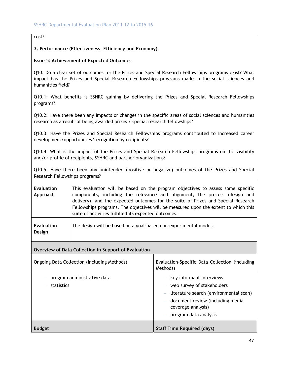#### cost?

#### **3. Performance (Effectiveness, Efficiency and Economy)**

#### **Issue 5: Achievement of Expected Outcomes**

Q10: Do a clear set of outcomes for the Prizes and Special Research Fellowships programs exist? What impact has the Prizes and Special Research Fellowships programs made in the social sciences and humanities field?

Q10.1: What benefits is SSHRC gaining by delivering the Prizes and Special Research Fellowships programs?

Q10.2: Have there been any impacts or changes in the specific areas of social sciences and humanities research as a result of being awarded prizes / special research fellowships?

Q10.3: Have the Prizes and Special Research Fellowships programs contributed to increased career development/opportunities/recognition by recipients?

Q10.4: What is the impact of the Prizes and Special Research Fellowships programs on the visibility and/or profile of recipients, SSHRC and partner organizations?

Q10.5: Have there been any unintended (positive or negative) outcomes of the Prizes and Special Research Fellowships programs?

| <b>Evaluation</b><br>Approach | This evaluation will be based on the program objectives to assess some specific<br>components, including the relevance and alignment, the process (design and<br>delivery), and the expected outcomes for the suite of Prizes and Special Research<br>Fellowships programs. The objectives will be measured upon the extent to which this<br>suite of activities fulfilled its expected outcomes. |
|-------------------------------|---------------------------------------------------------------------------------------------------------------------------------------------------------------------------------------------------------------------------------------------------------------------------------------------------------------------------------------------------------------------------------------------------|
| <b>Evaluation</b><br>Design   | The design will be based on a goal-based non-experimental model.                                                                                                                                                                                                                                                                                                                                  |

#### **Overview of Data Collection in Support of Evaluation**

| Ongoing Data Collection (including Methods) | Evaluation-Specific Data Collection (including<br>Methods)                                                                                                                          |
|---------------------------------------------|-------------------------------------------------------------------------------------------------------------------------------------------------------------------------------------|
| program administrative data<br>statistics   | key informant interviews<br>web survey of stakeholders<br>literature search (environmental scan)<br>document review (including media<br>coverage analysis)<br>program data analysis |
| <b>Budget</b>                               | <b>Staff Time Required (days)</b>                                                                                                                                                   |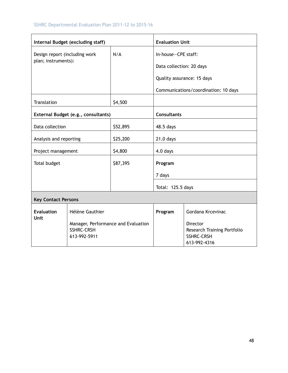|                                                      | Internal Budget (excluding staff)                                        |          | <b>Evaluation Unit</b>                          |                                                                                     |
|------------------------------------------------------|--------------------------------------------------------------------------|----------|-------------------------------------------------|-------------------------------------------------------------------------------------|
| Design report (including work<br>plan; instruments): |                                                                          | N/A      | In-house-CPE staff:<br>Data collection: 20 days | Quality assurance: 15 days                                                          |
|                                                      |                                                                          |          |                                                 | Communications/coordination: 10 days                                                |
| Translation                                          |                                                                          | \$4,500  |                                                 |                                                                                     |
|                                                      | External Budget (e.g., consultants)                                      |          | <b>Consultants</b>                              |                                                                                     |
| Data collection                                      |                                                                          | \$52,895 | 48.5 days                                       |                                                                                     |
| Analysis and reporting                               |                                                                          | \$25,200 | $21.0$ days                                     |                                                                                     |
| Project management                                   |                                                                          | \$4,800  | 4.0 days                                        |                                                                                     |
| Total budget                                         |                                                                          | \$87,395 | Program                                         |                                                                                     |
|                                                      |                                                                          |          | 7 days                                          |                                                                                     |
|                                                      |                                                                          |          | Total: 125.5 days                               |                                                                                     |
| <b>Key Contact Persons</b>                           |                                                                          |          |                                                 |                                                                                     |
| <b>Evaluation</b>                                    | <b>Hélène Gauthier</b>                                                   |          | Program                                         | Gordana Krcevinac                                                                   |
| <b>Unit</b>                                          | Manager, Performance and Evaluation<br><b>SSHRC-CRSH</b><br>613-992-5911 |          |                                                 | <b>Director</b><br>Research Training Portfolio<br><b>SSHRC-CRSH</b><br>613-992-4316 |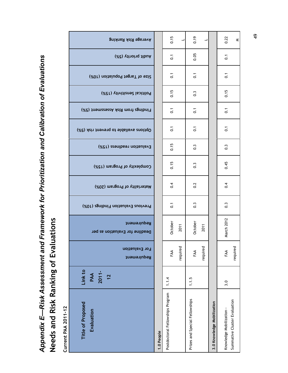# Appendix E-Risk Assessment and Framework for Prioritization and Calibration of Evaluations *Appendix E—Risk Assessment and Framework for Prioritization and Calibration of Evaluations*  **Needs and Risk Ranking of Evaluations**  Needs and Risk Ranking of Evaluations

| <b>Current PAA 2011-12</b>       |                                  |                               |                                               |                                    |                              |                             |                            |                                               |                                 |                            |                                 |                         |                             |
|----------------------------------|----------------------------------|-------------------------------|-----------------------------------------------|------------------------------------|------------------------------|-----------------------------|----------------------------|-----------------------------------------------|---------------------------------|----------------------------|---------------------------------|-------------------------|-----------------------------|
| Title of Proposed<br>Evaluation  | Link to<br>$2011 -$<br>PAA<br>12 | For Evaluation<br>Requirement | Requirement<br>Deadline for Evaluation as per | Previous Evaluation Findings (10%) | Materiality of Program (20%) | Complexity of Program (15%) | Evaluation readiness (15%) | (%d) <i>Asin</i> treveng of eldslisvs anoitq0 | (%d) triom Risk Asissament (5%) | (%dt) viivitiens labitiloq | (%01) noitsluqo9 tognaT to osi2 | Audit priority (5%)     | <b>Average Risk Ranking</b> |
| 1.0 People                       |                                  |                               |                                               |                                    |                              |                             |                            |                                               |                                 |                            |                                 |                         |                             |
| Postdoctoral Fellowships Program | 1.1.4                            | FAA                           | October                                       | $\overline{5}$                     | 0.4                          | 0.15                        | 0.15                       | $\overline{c}$                                | $\overline{\mathrm{o}}$         | 0.15                       | $\overline{c}$                  | $\overline{c}$          | 0.15                        |
|                                  |                                  | required                      | 2011                                          |                                    |                              |                             |                            |                                               |                                 |                            |                                 |                         |                             |
| Prizes and Special Fellowships   | 1.1.5                            | FAA                           | October                                       | $\frac{3}{2}$                      | 0.2                          | $\frac{3}{2}$               | $\ddot{\circ}$             | $\overline{c}$                                | $\overline{c}$                  | $\frac{3}{2}$              | $\overline{c}$                  | 0.05                    | 0.19                        |
|                                  |                                  | required                      | 2011                                          |                                    |                              |                             |                            |                                               |                                 |                            |                                 |                         |                             |
| 3.0 Knowledge Mobilization       |                                  |                               |                                               |                                    |                              |                             |                            |                                               |                                 |                            |                                 |                         |                             |
| Knowledge Mobilization-          | 3.0                              | FAA                           | March 2012                                    | $0.\overline{3}$                   | $\sim 0$                     | 0.45                        | $0.\overline{3}$           | $\overline{c}$                                | $\overline{\textbf{c}}$         | 0.15                       | $\overline{c}$                  | $\overline{\mathrm{o}}$ | 0.22                        |
| Summative Cluster Evaluation     |                                  | required                      |                                               |                                    |                              |                             |                            |                                               |                                 |                            |                                 |                         | ⋜                           |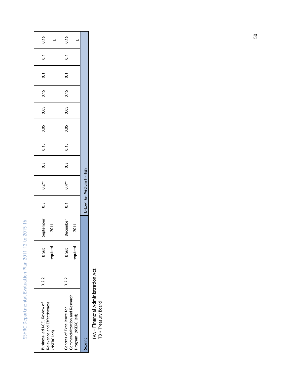|      |                  |                  |      |      |      |      |               | L=Low M= Medium H=High |                |           |          |       | Scoring                                               |
|------|------------------|------------------|------|------|------|------|---------------|------------------------|----------------|-----------|----------|-------|-------------------------------------------------------|
|      |                  |                  |      |      |      |      |               |                        |                | 2011      | required |       | Commercialization and Research<br>Program (NSERC led) |
| 0.16 | $\overline{0}$ . | $\overline{0}$ . | 0.15 | 0.05 | 0.05 | 0.15 | 0.3           | $0.4**$                | $\overline{0}$ | December  | TB Sub   | 3.2.2 | Centres of Excellence for                             |
|      |                  |                  |      |      |      |      |               |                        |                | 2011      | required |       | Relevance and Effectiveness<br>(NSERC led)            |
| 0.16 | $\overline{0}$ . | $\overline{0}$   | 0.15 | 0.05 | 0.05 | 0.15 | $\frac{3}{2}$ | $0.2**$                | $\ddot{0}$     | September | TB Sub   | 3.2.2 | Business-led NCE, Review of                           |

FAA = Financial Administration Act<br>TB = Treasury Board FAA = Financial Administration Act

TB = Treasury Board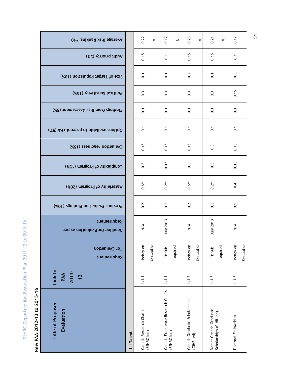| Title of Proposed<br>Evaluation                   | Link to<br>$2011 -$<br>PAA<br>12 | For Evaluation<br>Requirement | Requirement<br>Deadline for Evaluation as per | Previous Evaluation Findings (10%) | Materiality of Program (20%) | Complexity of Program (15%) | Evaluation readiness (15%) | Options available to prevent risk (5%) | Findings from Risk Asessament (5%) | Political Sensitivity (15%) | Size of Target Population (10%) | Audit priority (5%) | <b>Or* gnished Asist Banking</b> |
|---------------------------------------------------|----------------------------------|-------------------------------|-----------------------------------------------|------------------------------------|------------------------------|-----------------------------|----------------------------|----------------------------------------|------------------------------------|-----------------------------|---------------------------------|---------------------|----------------------------------|
| 1.1 Talent                                        |                                  |                               |                                               |                                    |                              |                             |                            |                                        |                                    |                             |                                 |                     |                                  |
| Canada Research Chairs<br>(SSHRC led)             | 1.1.1                            | Evaluation<br>Policy on       | $\frac{4}{2}$                                 | 0.2                                | $0.6**$                      | $\widetilde{\circ}$         | 0.15                       | $\overline{c}$                         | $\overline{c}$                     | $\frac{3}{2}$               | $\overline{c}$                  | 0.15                | 0.22<br>$\leq$                   |
| Canada Excellence Research Chairs<br>(SSHRC led)  | 1.1.1                            | required<br>TB Sub            | July 2013                                     | $\widetilde{\circ}$                | $0.2**$                      | 0.15                        | 0.15                       | $\overline{c}$                         | $\overline{c}$                     | $\frac{3}{2}$               | $\overline{c}$                  | $\overline{c}$      | 0.17<br>⊣                        |
| Canada Graduate Scholarships<br>(CIHR led)        | 1.1.2                            | Evaluation<br>Policy on       | $\frac{4}{2}$                                 | 0.2                                | $0.6**$                      | $\frac{3}{2}$               | 0.15                       | $\overline{c}$                         | $\overline{c}$                     | $\frac{3}{2}$               | 0.2                             | 0.15                | 0.23<br>≤                        |
| Vanier Canada Graduate<br>Scholarships (CIHR led) | 1.1.3                            | required<br>TB Sub            | July 2013                                     | $\frac{3}{2}$                      | $0.2**$                      | $\frac{3}{2}$               | $\frac{3}{2}$              | $\overline{c}$                         | $\overline{c}$                     | $\sim$                      | $\overline{c}$                  | 0.15                | 0.21<br>$\leq$                   |
| Doctoral Fellowships                              | 1.1.6                            | Evaluation<br>Policy on       | $\frac{4}{2}$                                 | $\overline{C}$                     | 0.4                          | 0.15                        | 0.15                       | $\overline{c}$                         | $\overline{c}$                     | 0.15                        | $\frac{3}{2}$                   | $\overline{c}$      | 0.17                             |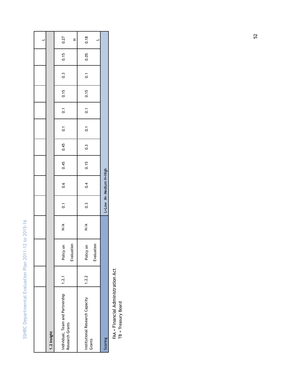| 1.2 Insight                                         |       |                         |               |                  |                        |      |                  |                  |                  |      |                  |      |               |
|-----------------------------------------------------|-------|-------------------------|---------------|------------------|------------------------|------|------------------|------------------|------------------|------|------------------|------|---------------|
| Individual, Team and Partnership<br>Research Grants | 1.2.1 | Policy on<br>Evaluation | $\frac{4}{2}$ | $\overline{0}$ . | 0.6                    | 0.45 | 0.45             | $\overline{0}$ . | 0.1              | 0.15 | $0.\overline{3}$ | 0.15 | 0.27<br>$\pm$ |
| Institutional Research Capacity<br>Grants           | 1.2.2 | Policy on<br>Evaluation | $\frac{4}{2}$ | $0.\overline{3}$ | 0.4                    | 0.15 | $0.\overline{3}$ | $\overline{0}$ . | $\overline{0}$ . | 0.15 | $\overline{0}$ . | 0.05 | 0.18          |
| Scoring                                             |       |                         |               |                  | L=Low M= Medium H=High |      |                  |                  |                  |      |                  |      |               |

FAA = Financial Administration Act<br>TB = Treasury Board FAA = Financial Administration Act

TB = Treasury Board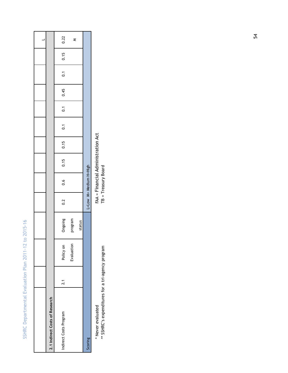| 2.1 Indirect Costs of Research |                  |            |         |     |                        |      |      |                  |                  |      |     |      |      |
|--------------------------------|------------------|------------|---------|-----|------------------------|------|------|------------------|------------------|------|-----|------|------|
| Indirect Costs Program         | $\overline{2.1}$ | Policy on  | Ongoing | 0.2 | 0.6                    | 0.15 | 0.15 | $\overline{0}$ . | $\overline{0.1}$ | 0.45 | 0.1 | 0.15 | 0.22 |
|                                |                  | Evaluation | program |     |                        |      |      |                  |                  |      |     |      | ٤    |
|                                |                  |            | status  |     |                        |      |      |                  |                  |      |     |      |      |
| Scoring                        |                  |            |         |     | L=Low M= Medium H=High |      |      |                  |                  |      |     |      |      |
|                                |                  |            |         |     |                        |      |      |                  |                  |      |     |      |      |

\*\* SSHRC's expenditures for a tri-agency program TB = Treasury Board\* Never evaluated<br>\*\* SSHRC's expenditures for a tri-agency program

FAA = Financial Administration Act<br>TB = Treasury Board  $^*$  Never evaluated  $\overline{A}$  Acts for Acts for Acts  $FAA =$  Financial Administration Acts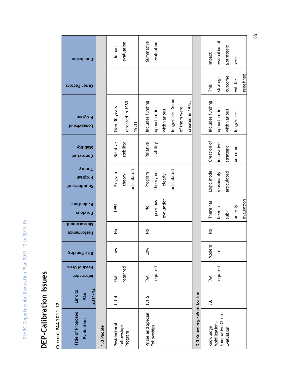# DEP-Calibration Issues **DEP-Calibration Issues**

**Current PAA 2011-12 Current PAA 2011-12** 

| Title of Proposed<br>Evaluation    | $2011 - 12$<br>Link to<br>PAA | Needs of Users<br>Information | <b>Risk Ranking</b> | Measurement<br>Performance | <b>Evaluations</b><br>Previous | <b>Theory</b><br>Program<br>Jo ssaupunos | Vilidai2<br>Contextual | Program<br>Longevity of    | Other Factors | αοίευΙοπο     |
|------------------------------------|-------------------------------|-------------------------------|---------------------|----------------------------|--------------------------------|------------------------------------------|------------------------|----------------------------|---------------|---------------|
| 1.0 People                         |                               |                               |                     |                            |                                |                                          |                        |                            |               |               |
| Postdoctoral                       | 1.1.4                         | FAA                           | <b>No7</b>          | $\stackrel{\mathtt{o}}{z}$ | 1994                           | Program                                  | Relative               | Over 30 years              |               | Impact        |
| Fellowships<br>Program             |                               | required                      |                     |                            |                                | articulated<br>theory                    | stability              | (created in 1980-<br>1981) |               | evaluation    |
| Prizes and Special                 | 1.1.5                         | FAA                           | <b>NOT</b>          | $\stackrel{\mathtt{o}}{z}$ | $\stackrel{\mathtt{o}}{z}$     | Program                                  | Relative               | Includes funding           |               | Summative     |
| Fellowships                        |                               | required                      |                     |                            | previous                       | theory not                               | stability              | opportunities              |               | evaluation    |
|                                    |                               |                               |                     |                            | evaluation                     | clearly                                  |                        | with various               |               |               |
|                                    |                               |                               |                     |                            |                                | articulated                              |                        | longevities. Some          |               |               |
|                                    |                               |                               |                     |                            |                                |                                          |                        | of them were               |               |               |
|                                    |                               |                               |                     |                            |                                |                                          |                        | created in 1978            |               |               |
| 3.0 Knowledge Mobilization         |                               |                               |                     |                            |                                |                                          |                        |                            |               |               |
| Knowledge                          | 3.0                           | FAA                           | Modera              | $\stackrel{\mathtt{o}}{z}$ | There has                      | Logic model                              | Creation of            | Includes funding           | This          | Impact        |
| Summative Cluster<br>Mobilization- |                               | required                      | م<br>م              |                            | been a                         | reasonably                               | innovative             | opportunities              | strategic     | evaluation at |
| Evaluation                         |                               |                               |                     |                            | sub-                           | articulated                              | strategic              | with various               | outcome       | a strategic   |
|                                    |                               |                               |                     |                            | activity                       |                                          | outcome                | longevities.               | will be       | level         |
|                                    |                               |                               |                     |                            | evaluation                     |                                          |                        |                            | redefined     |               |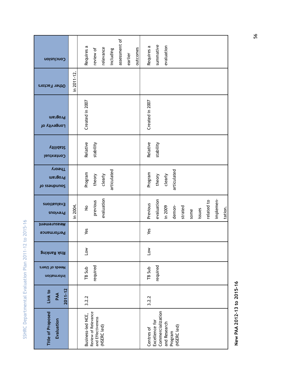| ٥                        |  |
|--------------------------|--|
|                          |  |
|                          |  |
| I                        |  |
| R<br>١                   |  |
|                          |  |
| ¢<br>ر                   |  |
| į                        |  |
| Ò                        |  |
|                          |  |
| ¢<br>3                   |  |
| á.                       |  |
| J                        |  |
| ¢                        |  |
|                          |  |
| Ï                        |  |
| ₹                        |  |
|                          |  |
|                          |  |
| ¢<br>)                   |  |
| c                        |  |
|                          |  |
| Ś                        |  |
| σ                        |  |
|                          |  |
| $\overline{\phantom{a}}$ |  |
|                          |  |
|                          |  |
| Ś                        |  |
| ¢                        |  |
| í                        |  |
| ł                        |  |
| ¢                        |  |
|                          |  |
|                          |  |
| ¢                        |  |
|                          |  |
|                          |  |
| úц                       |  |
|                          |  |
|                          |  |
| d                        |  |
| į                        |  |
| Ś                        |  |
| j                        |  |
|                          |  |
| Į                        |  |
| J                        |  |
| l                        |  |
|                          |  |
| I                        |  |
|                          |  |
| ī<br>Í                   |  |
|                          |  |
| ı                        |  |
|                          |  |
| t<br>J                   |  |
| ⊽<br>Í                   |  |
|                          |  |
|                          |  |
| t                        |  |
| t<br>٦                   |  |
|                          |  |
|                          |  |

New PAA 2012-13 to 2015-16 **New PAA 2012-13 to 2015-16**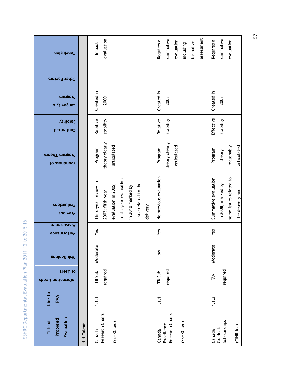| ٥           |
|-------------|
|             |
| I<br>R<br>٦ |
|             |
| Ć           |
| J           |
| Ć           |
| g           |
|             |
|             |
| $\geq$<br>¢ |
| ŧ<br>I      |
| ↽           |
|             |
| ¢           |
| J           |
|             |
| s           |
| ¢           |
|             |
| ۵           |
|             |
| Ś           |
|             |
| Į           |
| ŗ           |
|             |
|             |
| ĝ           |
|             |
| úц          |
|             |
| ത           |
| ł           |
| ċ           |
| e<br>G      |
|             |
|             |
| j           |
| ¢           |
| ¢           |
| I           |
| ١<br>l      |
|             |
| t           |
|             |
|             |
|             |
| J<br>I      |
| S           |

| Conclusion                         |            | evaluation<br>Impact                     |                     |                       |                   |                      |           | Requires a             | summative                     | evaluation  | including   | formative | assessment | Requires a           | summative                | evaluation             |                  |
|------------------------------------|------------|------------------------------------------|---------------------|-----------------------|-------------------|----------------------|-----------|------------------------|-------------------------------|-------------|-------------|-----------|------------|----------------------|--------------------------|------------------------|------------------|
| Other Factors                      |            |                                          |                     |                       |                   |                      |           |                        |                               |             |             |           |            |                      |                          |                        |                  |
| Program<br>Longevity of            |            | Created in<br>2000                       |                     |                       |                   |                      |           | Created in             | 2008                          |             |             |           |            | Created in           | 2003                     |                        |                  |
| <b>Villidai2</b><br>Contextual     |            | Relative<br>stability                    |                     |                       |                   |                      |           | Relative               | stability                     |             |             |           |            | Effective            | stability                |                        |                  |
| Program Theory<br>Jo ssaupunos     |            | theory clearly<br>Program                | articulated         |                       |                   |                      |           | Program                | theory clearly                | articulated |             |           |            | Program              | theory                   | reasonably             | articulated      |
| <b>Evaluations</b><br>Previous     |            | Third-year review in<br>2003; fifth-year | evaluation in 2005; | tenth-year evaluation | in 2010 marked by | issue related to the | delivery. | No previous evaluation |                               |             |             |           |            | Summative evaluation | in 2008, marked by       | some issues related to | the delivery and |
| Measurement<br>Performance         |            | Yes                                      |                     |                       |                   |                      |           | Yes                    |                               |             |             |           |            | Yes                  |                          |                        |                  |
| <b>Risk Ranking</b>                |            | Moderate                                 |                     |                       |                   |                      |           | Low                    |                               |             |             |           |            | Moderate             |                          |                        |                  |
| of Users<br>Information Needs      |            | required<br>TB Sub                       |                     |                       |                   |                      |           | TB Sub                 | required                      |             |             |           |            | FAA                  | required                 |                        |                  |
| Link to<br>PAA                     |            | 1.1.1                                    |                     |                       |                   |                      |           | 1.1.1                  |                               |             |             |           |            | 1.1.2                |                          |                        |                  |
| Evaluation<br>Proposed<br>Title of | 1.1 Talent | Research Chairs<br>Canada                | (SSHRC led)         |                       |                   |                      |           | Canada                 | Research Chairs<br>Excellence |             | (SSHRC led) |           |            | Canada               | Scholarships<br>Graduate |                        | (CIHR led)       |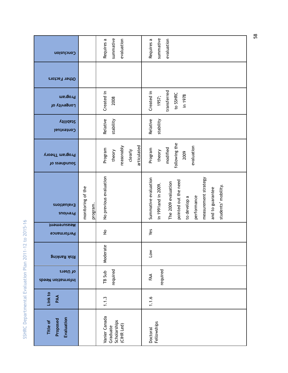| Conclusion                            |                               | summative<br>evaluation<br>Requires a                     | summative<br>Requires a<br>evaluation                                                                                                                                                        |
|---------------------------------------|-------------------------------|-----------------------------------------------------------|----------------------------------------------------------------------------------------------------------------------------------------------------------------------------------------------|
| Other Factors                         |                               |                                                           |                                                                                                                                                                                              |
| Program<br>Longevity of               |                               | Created in<br>2008                                        | transferred<br>Created in<br>to SSHRC<br>in 1978<br>1957;                                                                                                                                    |
| Vilidai2<br>Contextual                |                               | Relative<br>stability                                     | Relative<br>stability                                                                                                                                                                        |
| Program Theory<br>Jo ssaupunos        |                               | articulated<br>reasonably<br>Program<br>clearly<br>theory | following the<br>evaluation<br>modified<br>Program<br>theory<br>2009                                                                                                                         |
| <b>Evaluations</b><br><b>Previous</b> | monitoring of the<br>program. | No previous evaluation                                    | measurement strategy<br>Summative evaluation<br>pointed out the need<br>The 2009 evaluation<br>in 1991and in 2009.<br>students' mobility.<br>and to guarantee<br>performance<br>to develop a |
| Measurement<br>Performance            |                               | $\stackrel{\mathtt{o}}{z}$                                | Yes                                                                                                                                                                                          |
| <b>Risk Ranking</b>                   |                               | Moderate                                                  | <b>No7</b>                                                                                                                                                                                   |
| of Users<br>Information Needs         |                               | required<br>TB Sub                                        | required<br>FAA                                                                                                                                                                              |
| Link to<br>PAA                        |                               | 1.1.3                                                     | 1.1.6                                                                                                                                                                                        |
| Evaluation<br>Proposed<br>Title of    |                               | Vanier Canada<br>Scholarships<br>(CIHR Led)<br>Graduate   | Fellowships<br>Doctoral                                                                                                                                                                      |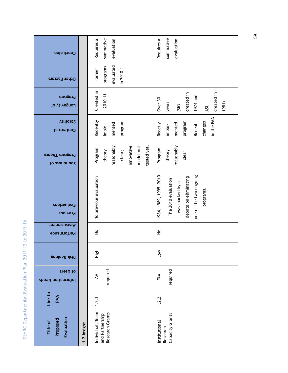| O                                                                                             |
|-----------------------------------------------------------------------------------------------|
| J.<br>R<br>٦<br>ć<br>Ĵ<br>ć                                                                   |
| 9                                                                                             |
| $\mathbf{\sim}$<br>ŧ                                                                          |
| I<br>↽                                                                                        |
|                                                                                               |
| Ć                                                                                             |
| c                                                                                             |
| Ś<br>¢                                                                                        |
| ۵                                                                                             |
| s<br>Į<br>ŗ<br>ģ<br>úц                                                                        |
| σ<br>J<br>ł<br>ć<br>e<br>G<br>l<br>¢<br>$\mathbf{C}$<br>I<br>$\mathcal{C}_{\mathcal{A}}$<br>١ |
| t<br>t<br>S                                                                                   |

| Conclusion                         | summative<br>Requires a<br>evaluation                                 | summative<br>Requires a<br>evaluation                                                                                            |
|------------------------------------|-----------------------------------------------------------------------|----------------------------------------------------------------------------------------------------------------------------------|
| Other Factors                      | evaluated<br>$in 2010-11$<br>programs<br>Former                       |                                                                                                                                  |
| Program<br>Longevity of            | Created in<br>2010-11                                                 | created in<br>created in<br>1974 and<br>Over 30<br>years<br>1981)<br>(51G)<br>ASU                                                |
| <b>Villidai2</b><br>Contextual     | Recently<br>program<br>mented<br>imple-                               | in the PAA<br>program<br>changes<br>mented<br>Recetly<br>Recent<br>imple-                                                        |
| Program Theory<br>Jo ssaupunos     | reasonably<br>innovative<br>model not<br>Program<br>theory<br>clear;  | reasonably<br>tested yet<br>Program<br>theory<br>clear                                                                           |
| Evaluations<br>Previous            | No previous evaluation                                                | one or the two ongoing<br>1984, 1989, 1995, 2010<br>debate on eliminating<br>The 2010 evaluation<br>was marked by a<br>programs. |
| Measurement<br>Performance         | $\hat{z}$                                                             | $\stackrel{\mathtt{o}}{z}$                                                                                                       |
| <b>Risk Ranking</b>                | High                                                                  | $\sum_{i=1}^{\infty}$                                                                                                            |
| of Users<br>Information Needs      | required<br>FAA                                                       | required<br>FAA                                                                                                                  |
| Link to<br>PAA                     | 1.2.1                                                                 | 1.2.2                                                                                                                            |
| Evaluation<br>Proposed<br>Title of | Individual, Team<br>Research Grants<br>and Partnership<br>1.2 Insight | Capacity Grants<br>Institutional<br>Research                                                                                     |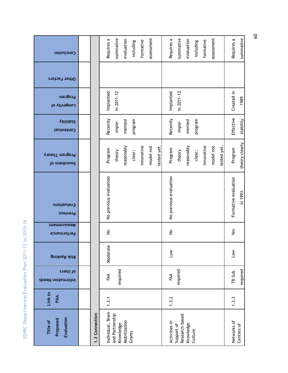| epartmental Evaluation Plan 2011-12 to 2015-16 |  |
|------------------------------------------------|--|
|                                                |  |
|                                                |  |
| JSHRC Depar                                    |  |
|                                                |  |

| Evaluation<br>Proposed<br>Title of | Link to<br>PAA | of Users<br>Information Needs | <b>Risk Ranking</b> | Measurement<br>Performance | <b>Evaluations</b><br>Previous | Program Theory<br>Jo ssaupunos | <b>Vilidai2</b><br>Contextual | Program<br>Longevity of | Other Factors | Conclusion |
|------------------------------------|----------------|-------------------------------|---------------------|----------------------------|--------------------------------|--------------------------------|-------------------------------|-------------------------|---------------|------------|
|                                    |                |                               |                     |                            |                                |                                |                               |                         |               |            |
| .3 Connection                      |                |                               |                     |                            |                                |                                |                               |                         |               |            |
| Individual, Team                   | 1.3.1          | FAA                           | Moderate            | $\stackrel{\mathtt{o}}{z}$ | No previous evaluation         | Program                        | Recently                      | Implanted               |               | Requires a |
| and Partnership<br>Knowledge       |                | required                      |                     |                            |                                | theory                         | imple-                        | in 2011-12              |               | summative  |
| Mobilization                       |                |                               |                     |                            |                                | reasonably                     | mented                        |                         |               | evaluation |
| Grants                             |                |                               |                     |                            |                                | clear;                         | program                       |                         |               | including  |
|                                    |                |                               |                     |                            |                                | innovative                     |                               |                         |               | formative  |
|                                    |                |                               |                     |                            |                                | model not                      |                               |                         |               | assessment |
|                                    |                |                               |                     |                            |                                | tested yet.                    |                               |                         |               |            |
| Activities in                      | 1.3.2          | FAA                           | $\overline{1}$ ow   | $\stackrel{\mathtt{o}}{z}$ | No previous evaluation         | Program                        | Recently                      | Implanted               |               | Requires a |
| Research-based<br>Support of       |                | required                      |                     |                            |                                | theory                         | imple-                        | $in$ 2011-12            |               | summative  |
| Knowledge                          |                |                               |                     |                            |                                | reasonably                     | mented                        |                         |               | evaluation |
| Culture                            |                |                               |                     |                            |                                | clear;                         | program                       |                         |               | including  |
|                                    |                |                               |                     |                            |                                | innovative                     |                               |                         |               | formative  |
|                                    |                |                               |                     |                            |                                | model not                      |                               |                         |               | assessment |
|                                    |                |                               |                     |                            |                                | tested yet.                    |                               |                         |               |            |
| Networks of                        | 1.3.3          | TB Sub                        | <b>No7</b>          | Yes                        | Formative evaluation           | Program                        | Effective                     | Created in              |               | Requires a |
| Centres of                         |                | required                      |                     |                            | in 1993.                       | theory clearly                 | stability                     | 1989                    |               | summative  |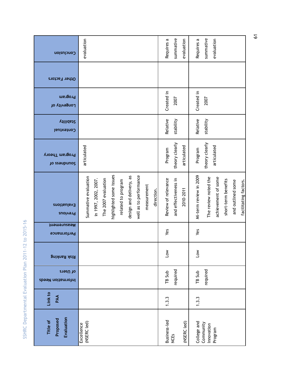| Conclusion                         | evaluation                                                                                                                                                                                             | summative<br>evaluation<br>Requires a                    | summative<br>evaluation<br>Requires a                                                                                                      |
|------------------------------------|--------------------------------------------------------------------------------------------------------------------------------------------------------------------------------------------------------|----------------------------------------------------------|--------------------------------------------------------------------------------------------------------------------------------------------|
| Other Factors                      |                                                                                                                                                                                                        |                                                          |                                                                                                                                            |
| Program<br>Longevity of            |                                                                                                                                                                                                        | Created in<br>2007                                       | Created in<br>2007                                                                                                                         |
| <b>Stability</b><br>Contextual     |                                                                                                                                                                                                        | Relative<br>stability                                    | Relative<br>stability                                                                                                                      |
| Program Theory<br>to esempuno?     | articulated                                                                                                                                                                                            | theory clearly<br>articulated<br>Program                 | theory clearly<br>articulated<br>Program                                                                                                   |
| Evaluations<br>Previous            | highlighted some issues<br>well as to performance<br>design and delivery, as<br>Summative evaluation<br>The 2007 evaluation<br>in 1997, 2002, 2007.<br>related to program<br>measurement<br>direction. | Review of relevance<br>and effectiveness in<br>2010-2011 | Mi-term review in 2009<br>The review noted the<br>achievement of some<br>short-term benefits<br>facilitating factors.<br>and outlined some |
| Measurement<br>Performance         |                                                                                                                                                                                                        | Yes                                                      | Yes                                                                                                                                        |
| <b>Risk Ranking</b>                |                                                                                                                                                                                                        | $\overline{1}$ ow                                        | $\overline{\mathsf{S}}$                                                                                                                    |
| of Users<br>Information Needs      |                                                                                                                                                                                                        | required<br>TB Sub                                       | required<br>TB Sub                                                                                                                         |
| Link to<br>PAA                     |                                                                                                                                                                                                        | 1.3.3                                                    | 1.3.3                                                                                                                                      |
| Evaluation<br>Proposed<br>Title of | (NSERC led)<br>Excellence                                                                                                                                                                              | Business-led<br>(NSERC led)<br><b>NCES</b>               | College and<br>Community<br>Innovation<br>Program                                                                                          |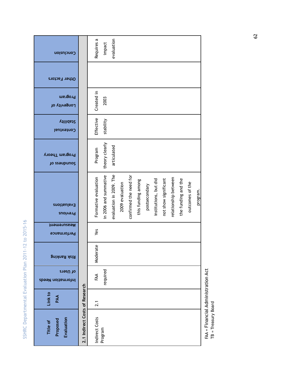| Conclusion                         |                                | evaluation<br>Requires a<br>impact                                                                                                                                                                                                                                                          |
|------------------------------------|--------------------------------|---------------------------------------------------------------------------------------------------------------------------------------------------------------------------------------------------------------------------------------------------------------------------------------------|
| Other Factors                      |                                |                                                                                                                                                                                                                                                                                             |
| Program<br>Longevity of            |                                | Created in<br>2003                                                                                                                                                                                                                                                                          |
| <b>Vilidai2</b><br>Contextual      |                                | Effective<br>stability                                                                                                                                                                                                                                                                      |
| Program Theory<br>Jo ssaupunos     |                                | theory clearly<br>articulated<br>Program                                                                                                                                                                                                                                                    |
|                                    |                                | evaluation in 2009. The<br>confirmed the need for<br>in 2006 and summative<br>Formative evaluation<br>relationship between<br>the funding and the<br>institutions, but did<br>not show significant<br>this funding among<br>outcomes of the<br>2009 evaluation<br>postsecondary<br>program. |
| Evaluations<br>Previous            |                                |                                                                                                                                                                                                                                                                                             |
| Measurement<br>Performance         |                                | Yes                                                                                                                                                                                                                                                                                         |
| <b>Risk Ranking</b>                |                                | Moderate                                                                                                                                                                                                                                                                                    |
| of Users<br>Information Needs      |                                | required<br>FAA                                                                                                                                                                                                                                                                             |
| Link to<br>PAA                     |                                | 2.1                                                                                                                                                                                                                                                                                         |
| Evaluation<br>Proposed<br>Title of | 2.1 Indirect Costs of Research | Indirect Costs<br>Program                                                                                                                                                                                                                                                                   |

FAA = Financial Administration Act<br>TB = Treasury Board FAA = Financial Administration Act TB = Treasury Board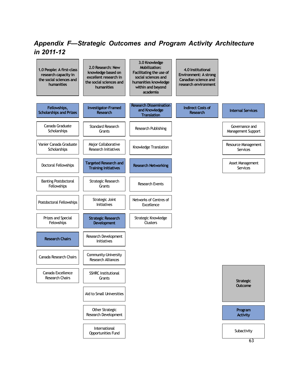# *Appendix F—Strategic Outcomes and Program Activity Architecture in 2011-12*

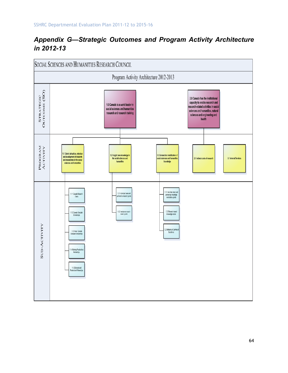# *Appendix G—Strategic Outcomes and Program Activity Architecture in 2012-13*

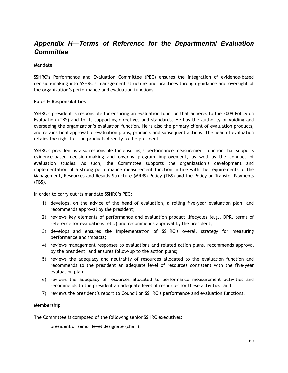### *Appendix H—Terms of Reference for the Departmental Evaluation Committee*

#### **Mandate**

SSHRC's Performance and Evaluation Committee (PEC) ensures the integration of evidence-based decision-making into SSHRC's management structure and practices through guidance and oversight of the organization's performance and evaluation functions.

#### **Roles & Responsibilities**

SSHRC's president is responsible for ensuring an evaluation function that adheres to the 2009 Policy on Evaluation (TBS) and to its supporting directives and standards. He has the authority of guiding and overseeing the organization's evaluation function. He is also the primary client of evaluation products, and retains final approval of evaluation plans, products and subsequent actions. The head of evaluation retains the right to issue products directly to the president.

SSHRC's president is also responsible for ensuring a performance measurement function that supports evidence-based decision-making and ongoing program improvement, as well as the conduct of evaluation studies. As such, the Committee supports the organization's development and implementation of a strong performance measurement function in line with the requirements of the Management, Resources and Results Structure (MRRS) Policy (TBS) and the Policy on Transfer Payments (TBS).

In order to carry out its mandate SSHRC's PEC:

- 1) develops, on the advice of the head of evaluation, a rolling five-year evaluation plan, and recommends approval by the president;
- 2) reviews key elements of performance and evaluation product lifecycles (e.g., DPR, terms of reference for evaluations, etc.) and recommends approval by the president;
- 3) develops and ensures the implementation of SSHRC's overall strategy for measuring performance and impacts;
- 4) reviews management responses to evaluations and related action plans, recommends approval by the president, and ensures follow-up to the action plans;
- 5) reviews the adequacy and neutrality of resources allocated to the evaluation function and recommends to the president an adequate level of resources consistent with the five-year evaluation plan;
- 6) reviews the adequacy of resources allocated to performance measurement activities and recommends to the president an adequate level of resources for these activities; and
- 7) reviews the president's report to Council on SSHRC's performance and evaluation functions.

#### **Membership**

The Committee is composed of the following senior SSHRC executives:

– president or senior level designate (chair);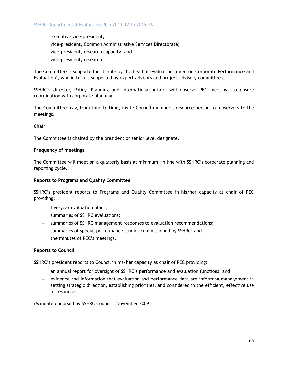- executive vice-president;
- vice-president, Common Administrative Services Directorate;
- vice-president, research capacity; and
- vice-president, research.

The Committee is supported in its role by the head of evaluation (director, Corporate Performance and Evaluation), who in turn is supported by expert advisors and project advisory committees.

SSHRC's director, Policy, Planning and International Affairs will observe PEC meetings to ensure coordination with corporate planning.

The Committee may, from time to time, invite Council members, resource persons or observers to the meetings.

#### **Chair**

The Committee is chaired by the president or senior level designate.

#### **Frequency of meetings**

The Committee will meet on a quarterly basis at minimum, in line with SSHRC's corporate planning and reporting cycle.

#### **Reports to Programs and Quality Committee**

SSHRC's president reports to Programs and Quality Committee in his/her capacity as chair of PEC providing:

- five-year evaluation plans;
- summaries of SSHRC evaluations;
- summaries of SSHRC management responses to evaluation recommendations;
- summaries of special performance studies commissioned by SSHRC; and
- the minutes of PEC's meetings.

#### **Reports to Council**

SSHRC's president reports to Council in his/her capacity as chair of PEC providing:

- an annual report for oversight of SSHRC's performance and evaluation functions; and
- evidence and information that evaluation and performance data are informing management in setting strategic direction, establishing priorities, and considered in the efficient, effective use of resources.

(Mandate endorsed by SSHRC Council – November 2009)